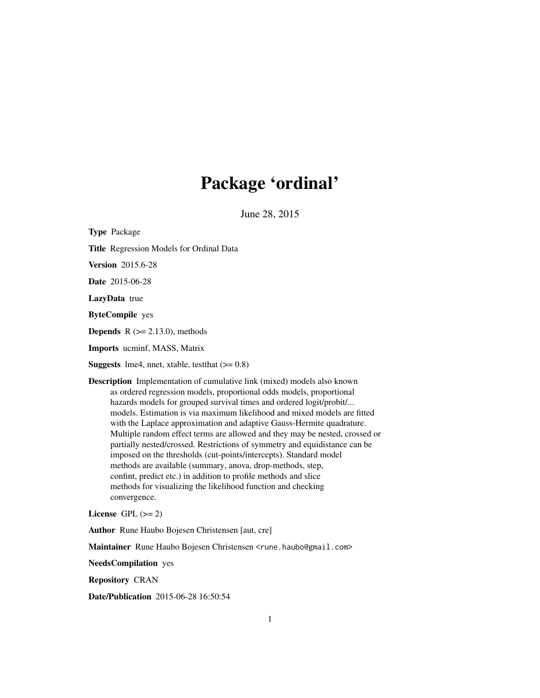# Package 'ordinal'

June 28, 2015

<span id="page-0-0"></span>Type Package Title Regression Models for Ordinal Data Version 2015.6-28 Date 2015-06-28 LazyData true ByteCompile yes **Depends**  $R$  ( $>= 2.13.0$ ), methods Imports ucminf, MASS, Matrix **Suggests** lme4, nnet, xtable, test that  $(>= 0.8)$ Description Implementation of cumulative link (mixed) models also known as ordered regression models, proportional odds models, proportional hazards models for grouped survival times and ordered logit/probit/... models. Estimation is via maximum likelihood and mixed models are fitted with the Laplace approximation and adaptive Gauss-Hermite quadrature. Multiple random effect terms are allowed and they may be nested, crossed or partially nested/crossed. Restrictions of symmetry and equidistance can be imposed on the thresholds (cut-points/intercepts). Standard model methods are available (summary, anova, drop-methods, step,

confint, predict etc.) in addition to profile methods and slice methods for visualizing the likelihood function and checking convergence.

License GPL  $(>= 2)$ 

Author Rune Haubo Bojesen Christensen [aut, cre]

Maintainer Rune Haubo Bojesen Christensen <rune.haubo@gmail.com>

NeedsCompilation yes

Repository CRAN

Date/Publication 2015-06-28 16:50:54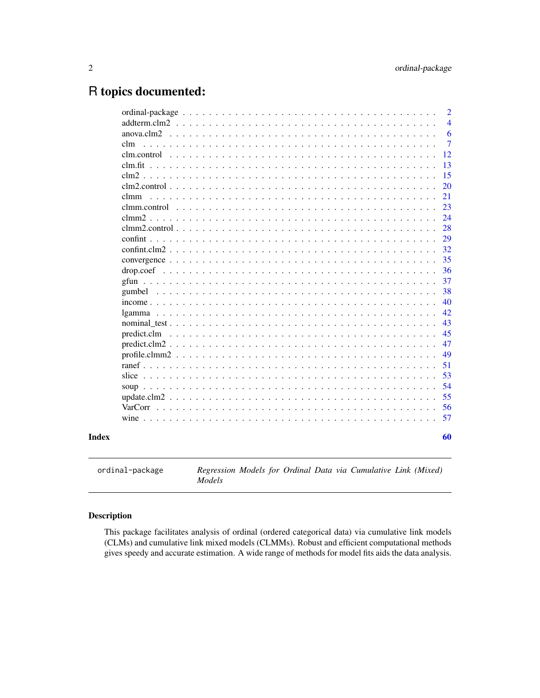## <span id="page-1-0"></span>R topics documented:

|             | 60             |
|-------------|----------------|
|             |                |
|             | 57             |
|             | 56             |
|             | 55             |
|             | 54             |
|             | 53             |
|             | 51             |
|             | 49             |
|             | 47             |
| predict.clm | 45             |
|             | 43             |
|             | 42             |
|             | 40             |
|             | 38             |
|             | 37             |
|             | 36             |
|             | 35             |
|             | 29<br>32       |
|             | 28             |
|             | 24             |
|             | 23             |
| clmm        | 21             |
|             | 20             |
|             | 15             |
|             | 13             |
|             | 12             |
| clm.        | $\overline{7}$ |
| anova.clm2  | 6              |
|             | $\overline{4}$ |
|             | 2              |

ordinal-package *Regression Models for Ordinal Data via Cumulative Link (Mixed) Models*

## Description

This package facilitates analysis of ordinal (ordered categorical data) via cumulative link models (CLMs) and cumulative link mixed models (CLMMs). Robust and efficient computational methods gives speedy and accurate estimation. A wide range of methods for model fits aids the data analysis.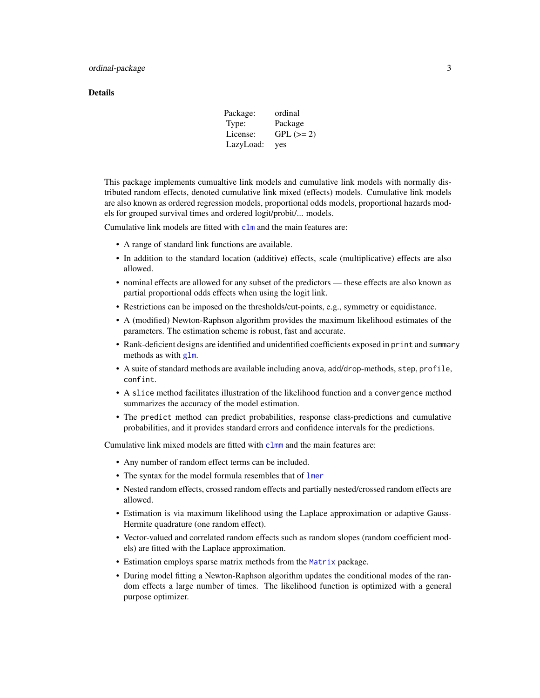#### <span id="page-2-0"></span>**Details**

| Package:  | ordinal     |
|-----------|-------------|
| Type:     | Package     |
| License:  | $GPL (= 2)$ |
| LazyLoad: | yes         |

This package implements cumualtive link models and cumulative link models with normally distributed random effects, denoted cumulative link mixed (effects) models. Cumulative link models are also known as ordered regression models, proportional odds models, proportional hazards models for grouped survival times and ordered logit/probit/... models.

Cumulative link models are fitted with  $clm$  and the main features are:

- A range of standard link functions are available.
- In addition to the standard location (additive) effects, scale (multiplicative) effects are also allowed.
- nominal effects are allowed for any subset of the predictors these effects are also known as partial proportional odds effects when using the logit link.
- Restrictions can be imposed on the thresholds/cut-points, e.g., symmetry or equidistance.
- A (modified) Newton-Raphson algorithm provides the maximum likelihood estimates of the parameters. The estimation scheme is robust, fast and accurate.
- Rank-deficient designs are identified and unidentified coefficients exposed in print and summary methods as with [glm](#page-0-0).
- A suite of standard methods are available including anova, add/drop-methods, step, profile, confint.
- A slice method facilitates illustration of the likelihood function and a convergence method summarizes the accuracy of the model estimation.
- The predict method can predict probabilities, response class-predictions and cumulative probabilities, and it provides standard errors and confidence intervals for the predictions.

Cumulative link mixed models are fitted with [clmm](#page-20-1) and the main features are:

- Any number of random effect terms can be included.
- The syntax for the model formula resembles that of [lmer](#page-0-0)
- Nested random effects, crossed random effects and partially nested/crossed random effects are allowed.
- Estimation is via maximum likelihood using the Laplace approximation or adaptive Gauss-Hermite quadrature (one random effect).
- Vector-valued and correlated random effects such as random slopes (random coefficient models) are fitted with the Laplace approximation.
- Estimation employs sparse matrix methods from the [Matrix](#page-0-0) package.
- During model fitting a Newton-Raphson algorithm updates the conditional modes of the random effects a large number of times. The likelihood function is optimized with a general purpose optimizer.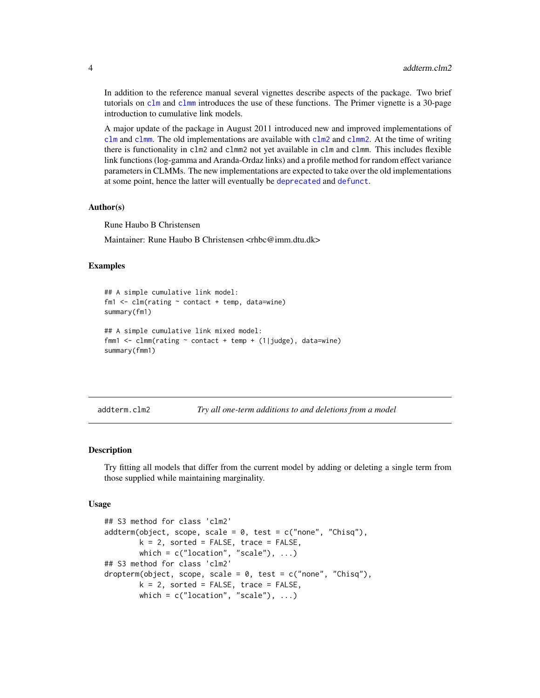In addition to the reference manual several vignettes describe aspects of the package. Two brief tutorials on [clm](#page-6-1) and [clmm](#page-20-1) introduces the use of these functions. The Primer vignette is a 30-page introduction to cumulative link models.

A major update of the package in August 2011 introduced new and improved implementations of [clm](#page-6-1) and [clmm](#page-20-1). The old implementations are available with [clm2](#page-14-1) and [clmm2](#page-23-1). At the time of writing there is functionality in clm2 and clmm2 not yet available in clm and clmm. This includes flexible link functions (log-gamma and Aranda-Ordaz links) and a profile method for random effect variance parameters in CLMMs. The new implementations are expected to take over the old implementations at some point, hence the latter will eventually be [deprecated](#page-0-0) and [defunct](#page-0-0).

## Author(s)

Rune Haubo B Christensen

Maintainer: Rune Haubo B Christensen <rhbc@imm.dtu.dk>

#### Examples

```
## A simple cumulative link model:
fm1 \leq clm(rating \sim contact + temp, data = wine)summary(fm1)
## A simple cumulative link mixed model:
fmm1 <- clmm(rating ~ context + temp + (1|judge), data= wine)summary(fmm1)
```
<span id="page-3-1"></span>addterm.clm2 *Try all one-term additions to and deletions from a model*

#### Description

Try fitting all models that differ from the current model by adding or deleting a single term from those supplied while maintaining marginality.

#### Usage

```
## S3 method for class 'clm2'
addterm(object, scope, scale = 0, test = c("none", "Chisq"),k = 2, sorted = FALSE, trace = FALSE,
       which = c("location", "scale"), ...)## S3 method for class 'clm2'
dropterm(object, scope, scale = 0, test = c("none", "Chisq"),k = 2, sorted = FALSE, trace = FALSE,
       which = c("location", "scale"), ...)
```
<span id="page-3-0"></span>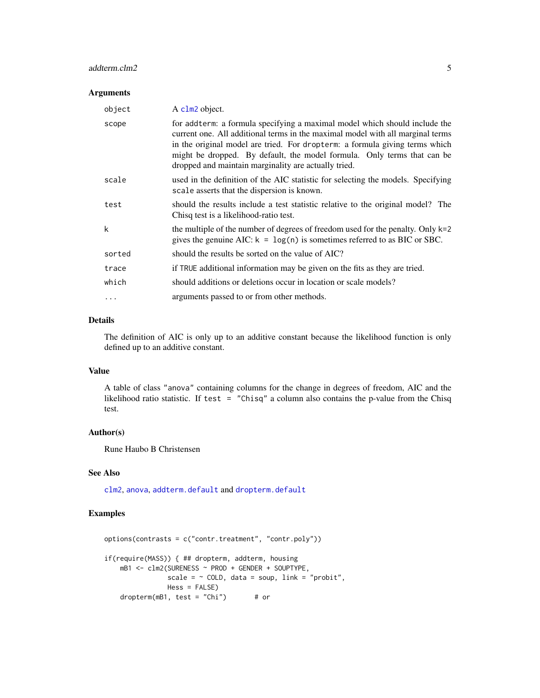## <span id="page-4-0"></span>addterm.clm2 5

#### Arguments

| object   | A clm2 object.                                                                                                                                                                                                                                                                                                                                                                 |
|----------|--------------------------------------------------------------------------------------------------------------------------------------------------------------------------------------------------------------------------------------------------------------------------------------------------------------------------------------------------------------------------------|
| scope    | for addterm: a formula specifying a maximal model which should include the<br>current one. All additional terms in the maximal model with all marginal terms<br>in the original model are tried. For dropterm: a formula giving terms which<br>might be dropped. By default, the model formula. Only terms that can be<br>dropped and maintain marginality are actually tried. |
| scale    | used in the definition of the AIC statistic for selecting the models. Specifying<br>scale asserts that the dispersion is known.                                                                                                                                                                                                                                                |
| test     | should the results include a test statistic relative to the original model? The<br>Chisq test is a likelihood-ratio test.                                                                                                                                                                                                                                                      |
| k        | the multiple of the number of degrees of freedom used for the penalty. Only $k=2$<br>gives the genuine AIC: $k = \log(n)$ is sometimes referred to as BIC or SBC.                                                                                                                                                                                                              |
| sorted   | should the results be sorted on the value of AIC?                                                                                                                                                                                                                                                                                                                              |
| trace    | if TRUE additional information may be given on the fits as they are tried.                                                                                                                                                                                                                                                                                                     |
| which    | should additions or deletions occur in location or scale models?                                                                                                                                                                                                                                                                                                               |
| $\cdots$ | arguments passed to or from other methods.                                                                                                                                                                                                                                                                                                                                     |

## Details

The definition of AIC is only up to an additive constant because the likelihood function is only defined up to an additive constant.

## Value

A table of class "anova" containing columns for the change in degrees of freedom, AIC and the likelihood ratio statistic. If test = "Chisq" a column also contains the p-value from the Chisq test.

#### Author(s)

Rune Haubo B Christensen

## See Also

[clm2](#page-14-1), [anova](#page-5-1), [addterm.default](#page-0-0) and [dropterm.default](#page-0-0)

## Examples

```
options(contrasts = c("contr.treatment", "contr.poly"))
if(require(MASS)) { ## dropterm, addterm, housing
   mB1 <- clm2(SURENESS ~ PROD + GENDER + SOUPTYPE,
               scale = \sim COLD, data = soup, link = "probit",
               Hess = FALSE)
    dropterm(mB1, test = "Chi") # or
```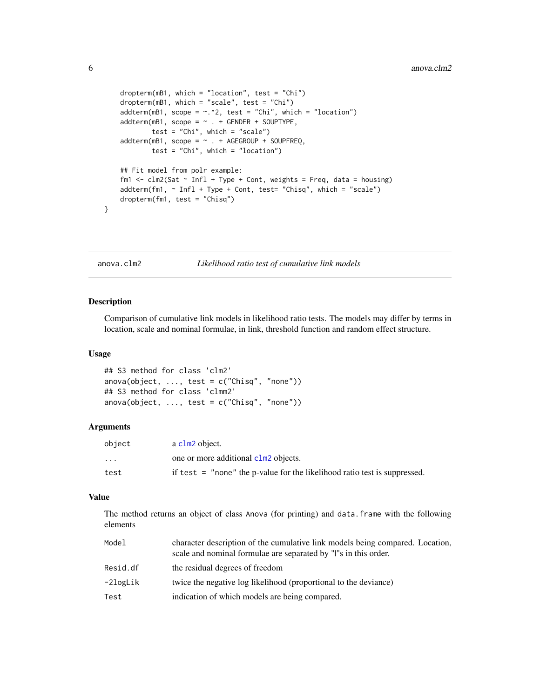```
dropterm(mB1, which = "location", test = "Chi")
dropterm(mB1, which = "scale", test = "Chi")
addterm(mB1, scope = ~.~^2, test = "Chi", which = "location")addterm(mB1, scope = ~ . + GENDER + SOUPTYPE,test = "Chi", which = "scale")
addterm(mB1, scope = ~ . + AGEGROUP + SOUPFREQ,test = "Chi", which = "location")
## Fit model from polr example:
fm1 <- clm2(Sat \sim Infl + Type + Cont, weights = Freq, data = housing)addterm(fm1, ~ Infl + Type + Cont, test= "Chisq", which = "scale")
dropterm(fm1, test = "Chisq")
```
<span id="page-5-1"></span>anova.clm2 *Likelihood ratio test of cumulative link models*

#### Description

}

Comparison of cumulative link models in likelihood ratio tests. The models may differ by terms in location, scale and nominal formulae, in link, threshold function and random effect structure.

#### Usage

```
## S3 method for class 'clm2'
anova(object, \dots, test = c("Chisq", "none"))
## S3 method for class 'clmm2'
anova(object, ..., test = c("Chisq", "none"))
```
#### Arguments

| object                  | a clm2 object.                                                              |
|-------------------------|-----------------------------------------------------------------------------|
| $\cdot$ $\cdot$ $\cdot$ | one or more additional clm2 objects.                                        |
| test                    | if test $=$ "none" the p-value for the likelihood ratio test is suppressed. |

#### Value

The method returns an object of class Anova (for printing) and data.frame with the following elements

| Model    | character description of the cumulative link models being compared. Location,<br>scale and nominal formulae are separated by "I"s in this order. |
|----------|--------------------------------------------------------------------------------------------------------------------------------------------------|
| Resid.df | the residual degrees of freedom                                                                                                                  |
| -2logLik | twice the negative log likelihood (proportional to the deviance)                                                                                 |
| Test     | indication of which models are being compared.                                                                                                   |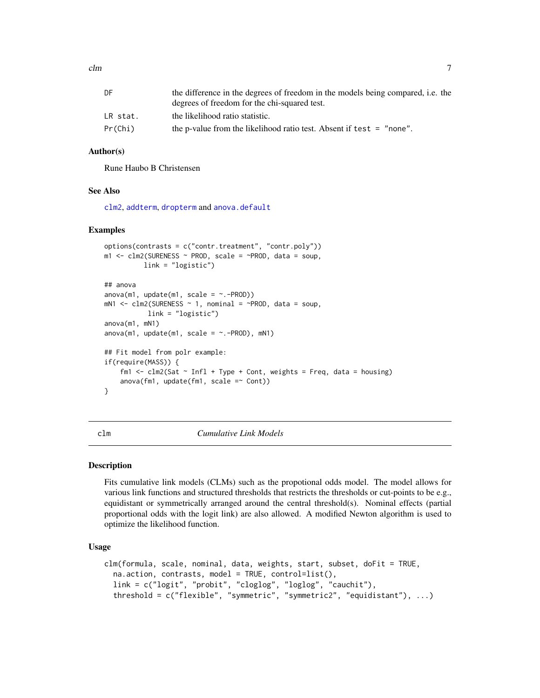<span id="page-6-0"></span>

| DF       | the difference in the degrees of freedom in the models being compared, i.e. the |
|----------|---------------------------------------------------------------------------------|
|          | degrees of freedom for the chi-squared test.                                    |
| LR stat. | the likelihood ratio statistic.                                                 |
| Pr(Chi)  | the p-value from the likelihood ratio test. Absent if test $=$ "none".          |

#### Author(s)

Rune Haubo B Christensen

#### See Also

[clm2](#page-14-1), [addterm](#page-3-1), [dropterm](#page-0-0) and [anova.default](#page-0-0)

#### Examples

```
options(contrasts = c("contr.treatment", "contr.poly"))
m1 <- clm2(SURENESS ~ PROD, scale = ~PROD, data = soup,
          link = "logistic")
## anova
anova(m1, update(m1, scale = ~.-PROD))mN1 <- clm2(SURENESS ~ 1, nominal = ~PROD, data = soup,link = "logistic")
anova(m1, mN1)
anova(m1, update(m1, scale = \sim.-PROD), mN1)
## Fit model from polr example:
if(require(MASS)) {
    fm1 <- clm2(Sat \sim Infl + Type + Cont, weights = Freq, data = housing)anova(fm1, update(fm1, scale =\sim Cont))
}
```
<span id="page-6-1"></span>clm *Cumulative Link Models*

## **Description**

Fits cumulative link models (CLMs) such as the propotional odds model. The model allows for various link functions and structured thresholds that restricts the thresholds or cut-points to be e.g., equidistant or symmetrically arranged around the central threshold(s). Nominal effects (partial proportional odds with the logit link) are also allowed. A modified Newton algorithm is used to optimize the likelihood function.

## Usage

```
clm(formula, scale, nominal, data, weights, start, subset, doFit = TRUE,
  na.action, contrasts, model = TRUE, control=list(),
  link = c("logit", "probit", "cloglog", "loglog", "cauchit"),
  threshold = c("flexible", "symmetric", "symmetric2", "equidistant"), ...)
```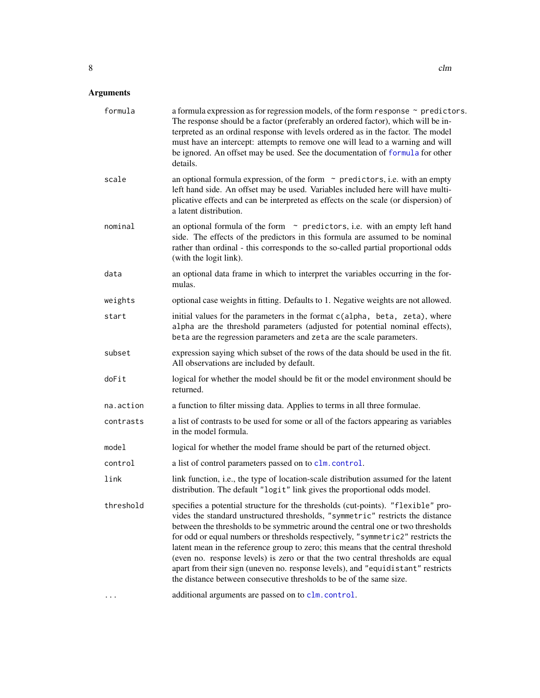<span id="page-7-0"></span>

| formula   | a formula expression as for regression models, of the form response $\sim$ predictors.<br>The response should be a factor (preferably an ordered factor), which will be in-<br>terpreted as an ordinal response with levels ordered as in the factor. The model<br>must have an intercept: attempts to remove one will lead to a warning and will<br>be ignored. An offset may be used. See the documentation of formula for other<br>details.                                                                                                                                                                                                                             |
|-----------|----------------------------------------------------------------------------------------------------------------------------------------------------------------------------------------------------------------------------------------------------------------------------------------------------------------------------------------------------------------------------------------------------------------------------------------------------------------------------------------------------------------------------------------------------------------------------------------------------------------------------------------------------------------------------|
| scale     | an optional formula expression, of the form $\sim$ predictors, i.e. with an empty<br>left hand side. An offset may be used. Variables included here will have multi-<br>plicative effects and can be interpreted as effects on the scale (or dispersion) of<br>a latent distribution.                                                                                                                                                                                                                                                                                                                                                                                      |
| nominal   | an optional formula of the form $\sim$ predictors, i.e. with an empty left hand<br>side. The effects of the predictors in this formula are assumed to be nominal<br>rather than ordinal - this corresponds to the so-called partial proportional odds<br>(with the logit link).                                                                                                                                                                                                                                                                                                                                                                                            |
| data      | an optional data frame in which to interpret the variables occurring in the for-<br>mulas.                                                                                                                                                                                                                                                                                                                                                                                                                                                                                                                                                                                 |
| weights   | optional case weights in fitting. Defaults to 1. Negative weights are not allowed.                                                                                                                                                                                                                                                                                                                                                                                                                                                                                                                                                                                         |
| start     | initial values for the parameters in the format c(alpha, beta, zeta), where<br>alpha are the threshold parameters (adjusted for potential nominal effects),<br>beta are the regression parameters and zeta are the scale parameters.                                                                                                                                                                                                                                                                                                                                                                                                                                       |
| subset    | expression saying which subset of the rows of the data should be used in the fit.<br>All observations are included by default.                                                                                                                                                                                                                                                                                                                                                                                                                                                                                                                                             |
| doFit     | logical for whether the model should be fit or the model environment should be<br>returned.                                                                                                                                                                                                                                                                                                                                                                                                                                                                                                                                                                                |
| na.action | a function to filter missing data. Applies to terms in all three formulae.                                                                                                                                                                                                                                                                                                                                                                                                                                                                                                                                                                                                 |
| contrasts | a list of contrasts to be used for some or all of the factors appearing as variables<br>in the model formula.                                                                                                                                                                                                                                                                                                                                                                                                                                                                                                                                                              |
| model     | logical for whether the model frame should be part of the returned object.                                                                                                                                                                                                                                                                                                                                                                                                                                                                                                                                                                                                 |
| control   | a list of control parameters passed on to clm. control.                                                                                                                                                                                                                                                                                                                                                                                                                                                                                                                                                                                                                    |
| link      | link function, i.e., the type of location-scale distribution assumed for the latent<br>distribution. The default "logit" link gives the proportional odds model.                                                                                                                                                                                                                                                                                                                                                                                                                                                                                                           |
| threshold | specifies a potential structure for the thresholds (cut-points). "flexible" pro-<br>vides the standard unstructured thresholds, "symmetric" restricts the distance<br>between the thresholds to be symmetric around the central one or two thresholds<br>for odd or equal numbers or thresholds respectively, "symmetric2" restricts the<br>latent mean in the reference group to zero; this means that the central threshold<br>(even no. response levels) is zero or that the two central thresholds are equal<br>apart from their sign (uneven no. response levels), and "equidistant" restricts<br>the distance between consecutive thresholds to be of the same size. |
|           | additional arguments are passed on to clm.control.                                                                                                                                                                                                                                                                                                                                                                                                                                                                                                                                                                                                                         |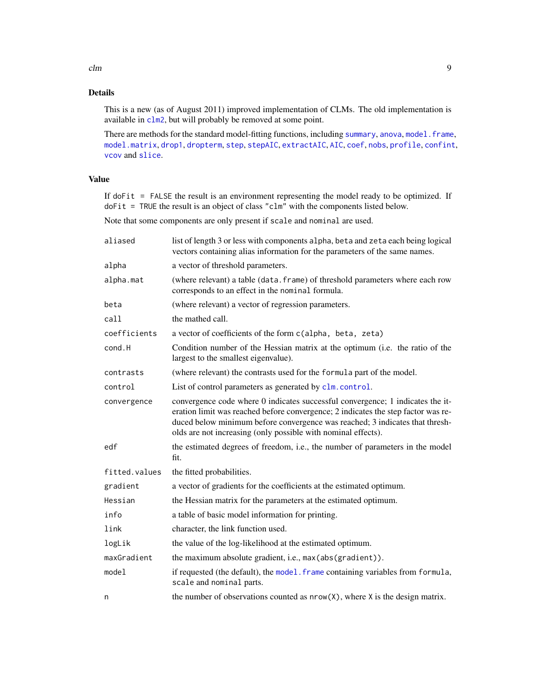## <span id="page-8-0"></span>Details

This is a new (as of August 2011) improved implementation of CLMs. The old implementation is available in [clm2](#page-14-1), but will probably be removed at some point.

There are methods for the standard model-fitting functions, including [summary](#page-0-0), [anova](#page-0-0), model. frame, [model.matrix](#page-0-0), [drop1](#page-0-0), [dropterm](#page-0-0), [step](#page-0-0), [stepAIC](#page-0-0), [extractAIC](#page-0-0), [AIC](#page-0-0), [coef](#page-0-0), [nobs](#page-0-0), [profile](#page-0-0), [confint](#page-28-1), [vcov](#page-0-0) and [slice](#page-52-1).

## Value

If doFit = FALSE the result is an environment representing the model ready to be optimized. If doFit = TRUE the result is an object of class "clm" with the components listed below.

Note that some components are only present if scale and nominal are used.

| aliased       | list of length 3 or less with components alpha, beta and zeta each being logical<br>vectors containing alias information for the parameters of the same names.                                                                                                                                                       |
|---------------|----------------------------------------------------------------------------------------------------------------------------------------------------------------------------------------------------------------------------------------------------------------------------------------------------------------------|
| alpha         | a vector of threshold parameters.                                                                                                                                                                                                                                                                                    |
| alpha.mat     | (where relevant) a table (data. frame) of threshold parameters where each row<br>corresponds to an effect in the nominal formula.                                                                                                                                                                                    |
| beta          | (where relevant) a vector of regression parameters.                                                                                                                                                                                                                                                                  |
| call          | the mathed call.                                                                                                                                                                                                                                                                                                     |
| coefficients  | a vector of coefficients of the form c(alpha, beta, zeta)                                                                                                                                                                                                                                                            |
| cond.H        | Condition number of the Hessian matrix at the optimum (i.e. the ratio of the<br>largest to the smallest eigenvalue).                                                                                                                                                                                                 |
| contrasts     | (where relevant) the contrasts used for the formula part of the model.                                                                                                                                                                                                                                               |
| control       | List of control parameters as generated by clm. control.                                                                                                                                                                                                                                                             |
| convergence   | convergence code where 0 indicates successful convergence; 1 indicates the it-<br>eration limit was reached before convergence; 2 indicates the step factor was re-<br>duced below minimum before convergence was reached; 3 indicates that thresh-<br>olds are not increasing (only possible with nominal effects). |
| edf           | the estimated degrees of freedom, i.e., the number of parameters in the model<br>fit.                                                                                                                                                                                                                                |
| fitted.values | the fitted probabilities.                                                                                                                                                                                                                                                                                            |
| gradient      | a vector of gradients for the coefficients at the estimated optimum.                                                                                                                                                                                                                                                 |
| Hessian       | the Hessian matrix for the parameters at the estimated optimum.                                                                                                                                                                                                                                                      |
| info          | a table of basic model information for printing.                                                                                                                                                                                                                                                                     |
| link          | character, the link function used.                                                                                                                                                                                                                                                                                   |
| logLik        | the value of the log-likelihood at the estimated optimum.                                                                                                                                                                                                                                                            |
| maxGradient   | the maximum absolute gradient, i.e., max (abs (gradient)).                                                                                                                                                                                                                                                           |
| model         | if requested (the default), the model. frame containing variables from formula,<br>scale and nominal parts.                                                                                                                                                                                                          |
| n             | the number of observations counted as $nrow(X)$ , where X is the design matrix.                                                                                                                                                                                                                                      |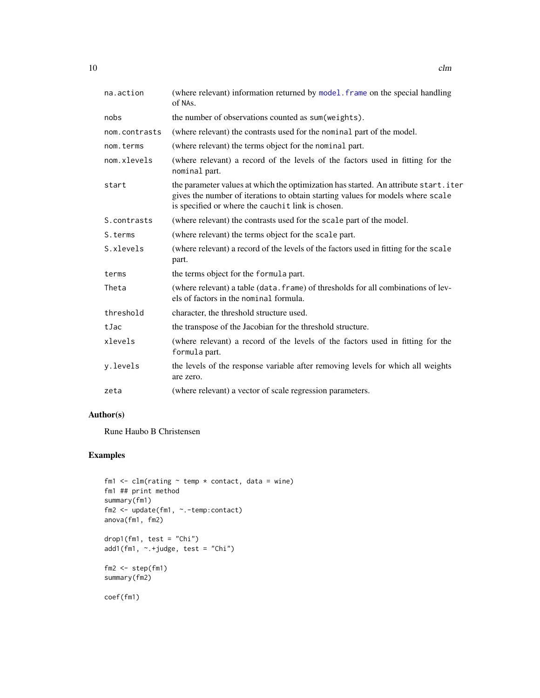<span id="page-9-0"></span>

| na.action     | (where relevant) information returned by model. frame on the special handling<br>of NAs.                                                                                                                                    |
|---------------|-----------------------------------------------------------------------------------------------------------------------------------------------------------------------------------------------------------------------------|
| nobs          | the number of observations counted as sum (weights).                                                                                                                                                                        |
| nom.contrasts | (where relevant) the contrasts used for the nominal part of the model.                                                                                                                                                      |
| nom.terms     | (where relevant) the terms object for the nominal part.                                                                                                                                                                     |
| nom.xlevels   | (where relevant) a record of the levels of the factors used in fitting for the<br>nominal part.                                                                                                                             |
| start         | the parameter values at which the optimization has started. An attribute start.iter<br>gives the number of iterations to obtain starting values for models where scale<br>is specified or where the cauchit link is chosen. |
| S.contrasts   | (where relevant) the contrasts used for the scale part of the model.                                                                                                                                                        |
| S.terms       | (where relevant) the terms object for the scale part.                                                                                                                                                                       |
| S.xlevels     | (where relevant) a record of the levels of the factors used in fitting for the scale<br>part.                                                                                                                               |
| terms         | the terms object for the formula part.                                                                                                                                                                                      |
| Theta         | (where relevant) a table (data. frame) of thresholds for all combinations of lev-<br>els of factors in the nominal formula.                                                                                                 |
| threshold     | character, the threshold structure used.                                                                                                                                                                                    |
| tJac          | the transpose of the Jacobian for the threshold structure.                                                                                                                                                                  |
| xlevels       | (where relevant) a record of the levels of the factors used in fitting for the<br>formula part.                                                                                                                             |
| y.levels      | the levels of the response variable after removing levels for which all weights<br>are zero.                                                                                                                                |
| zeta          | (where relevant) a vector of scale regression parameters.                                                                                                                                                                   |

## Author(s)

Rune Haubo B Christensen

## Examples

```
fm1 \leftarrow clm(rating \sim temp \star contact, data = wine)
fm1 ## print method
summary(fm1)
fm2 <- update(fm1, ~.-temp:contact)
anova(fm1, fm2)
drop1(fm1, test = "Chi")add1(fm1, \sim +judge, test = "Chi")
fm2 \leq step(fm1)summary(fm2)
coef(fm1)
```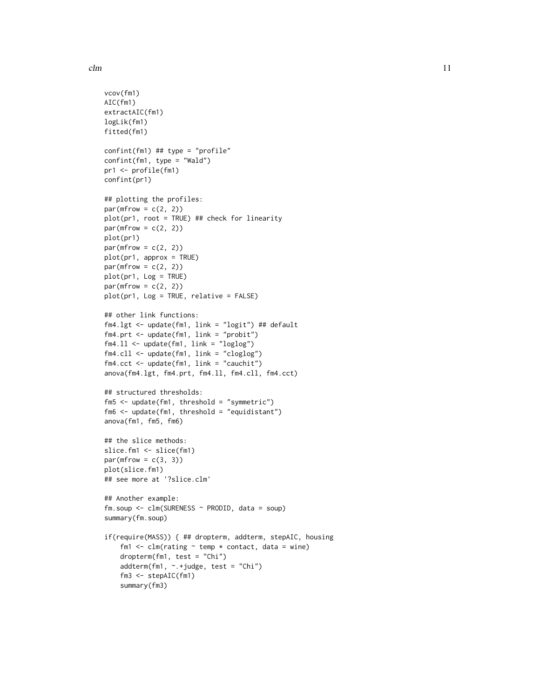```
vcov(fm1)
AIC(fm1)
extractAIC(fm1)
logLik(fm1)
fitted(fm1)
confint(fm1) ## type = "profile"
confint(fm1, type = "Wald")pr1 <- profile(fm1)
confint(pr1)
## plotting the profiles:
par(mfrow = c(2, 2))plot(pr1, root = TRUE) ## check for linearity
par(mfrow = c(2, 2))plot(pr1)
par(mfrow = c(2, 2))plot(pr1, approx = TRUE)
par(mfrow = c(2, 2))plot(pr1, Log = TRUE)
par(mfrow = c(2, 2))plot(pr1, Log = TRUE, relative = FALSE)
## other link functions:
fm4.lgt <- update(fm1, link = "logit") ## default
fm4.prt <- update(fm1, link = "probit")
fm4.ll <- update(fm1, link = "loglog")
fm4.cll <- update(fm1, link = "cloglog")
fm4.cct <- update(fm1, link = "cauchit")
anova(fm4.lgt, fm4.prt, fm4.ll, fm4.cll, fm4.cct)
## structured thresholds:
fm5 <- update(fm1, threshold = "symmetric")
fm6 <- update(fm1, threshold = "equidistant")
anova(fm1, fm5, fm6)
## the slice methods:
slice.fm1 <- slice(fm1)
par(mfrow = c(3, 3))plot(slice.fm1)
## see more at '?slice.clm'
## Another example:
fm.soup <- clm(SURENESS ~ PRODID, data = soup)
summary(fm.soup)
if(require(MASS)) { ## dropterm, addterm, stepAIC, housing
    fm1 \le - clm(rating \sim temp \star contact, data = wine)
    dropterm(fm1, test = "Chi")
    addterm(fm1, ~.+judge, test = "Chi")
    fm3 <- stepAIC(fm1)
    summary(fm3)
```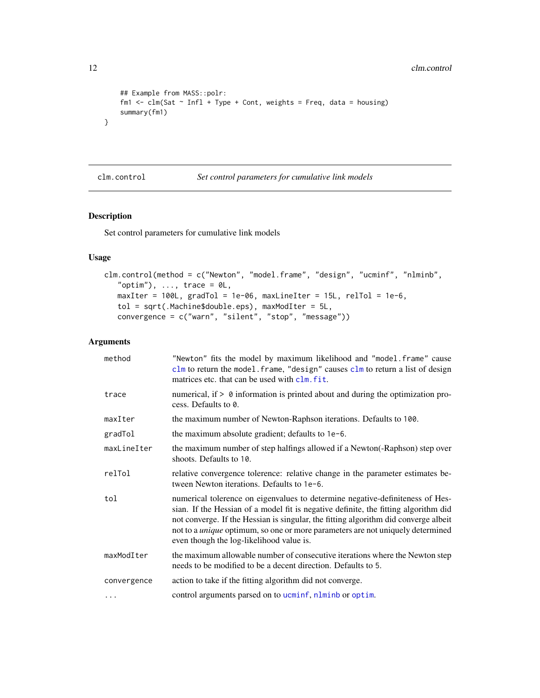#### 12 clm.control

```
## Example from MASS::polr:
    fm1 \le - clm(Sat \sim Infl + Type + Cont, weights = Freq, data = housing)
    summary(fm1)
}
```
#### <span id="page-11-1"></span>clm.control *Set control parameters for cumulative link models*

#### Description

Set control parameters for cumulative link models

## Usage

```
clm.control(method = c("Newton", "model.frame", "design", "ucminf", "nlminb",
   "optim"), ..., trace = \emptyset L,
   maxIter = 100L, gradTol = 1e-06, maxLineIter = 15L, relTol = 1e-6,
   tol = sqrt(.Machine$double.eps), maxModIter = 5L,
   convergence = c("warn", "silent", "stop", "message"))
```

| method      | "Newton" fits the model by maximum likelihood and "model.frame" cause<br>$clm$ to return the model. frame, "design" causes $clm$ to return a list of design<br>matrices etc. that can be used with clm. fit.                                                                                                                                                                                     |
|-------------|--------------------------------------------------------------------------------------------------------------------------------------------------------------------------------------------------------------------------------------------------------------------------------------------------------------------------------------------------------------------------------------------------|
| trace       | numerical, if $> 0$ information is printed about and during the optimization pro-<br>cess. Defaults to 0.                                                                                                                                                                                                                                                                                        |
| maxIter     | the maximum number of Newton-Raphson iterations. Defaults to 100.                                                                                                                                                                                                                                                                                                                                |
| gradTol     | the maximum absolute gradient; defaults to 1e-6.                                                                                                                                                                                                                                                                                                                                                 |
| maxLineIter | the maximum number of step halfings allowed if a Newton (-Raphson) step over<br>shoots. Defaults to 10.                                                                                                                                                                                                                                                                                          |
| relTol      | relative convergence tolerence: relative change in the parameter estimates be-<br>tween Newton iterations. Defaults to 1e-6.                                                                                                                                                                                                                                                                     |
| tol         | numerical tolerence on eigenvalues to determine negative-definiteness of Hes-<br>sian. If the Hessian of a model fit is negative definite, the fitting algorithm did<br>not converge. If the Hessian is singular, the fitting algorithm did converge albeit<br>not to a <i>unique</i> optimum, so one or more parameters are not uniquely determined<br>even though the log-likelihood value is. |
| maxModIter  | the maximum allowable number of consecutive iterations where the Newton step<br>needs to be modified to be a decent direction. Defaults to 5.                                                                                                                                                                                                                                                    |
| convergence | action to take if the fitting algorithm did not converge.                                                                                                                                                                                                                                                                                                                                        |
| $\cdots$    | control arguments parsed on to ucminf, nlminb or optim.                                                                                                                                                                                                                                                                                                                                          |

<span id="page-11-0"></span>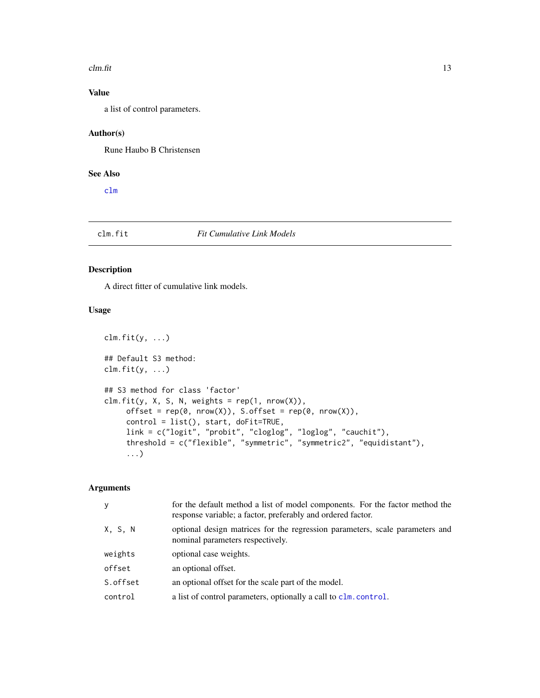#### <span id="page-12-0"></span> $clm.fit$  13

## Value

a list of control parameters.

## Author(s)

Rune Haubo B Christensen

## See Also

[clm](#page-6-1)

## <span id="page-12-1"></span>clm.fit *Fit Cumulative Link Models*

## Description

A direct fitter of cumulative link models.

## Usage

```
clm.fit(y, \ldots)## Default S3 method:
clm.fit(y, \ldots)## S3 method for class 'factor'
clm.fit(y, X, S, N, weights = rep(1, nrow(X)),offset = rep(0, nrow(X)), S.offset = rep(0, nrow(X)),control = list(), start, doFit=TRUE,
     link = c("logit", "probit", "cloglog", "loglog", "cauchit"),
     threshold = c("flexible", "symmetric", "symmetric2", "equidistant"),
     ...)
```

| <b>V</b> | for the default method a list of model components. For the factor method the<br>response variable; a factor, preferably and ordered factor. |
|----------|---------------------------------------------------------------------------------------------------------------------------------------------|
| X, S, N  | optional design matrices for the regression parameters, scale parameters and<br>nominal parameters respectively.                            |
| weights  | optional case weights.                                                                                                                      |
| offset   | an optional offset.                                                                                                                         |
| S.offset | an optional offset for the scale part of the model.                                                                                         |
| control  | a list of control parameters, optionally a call to clm. control.                                                                            |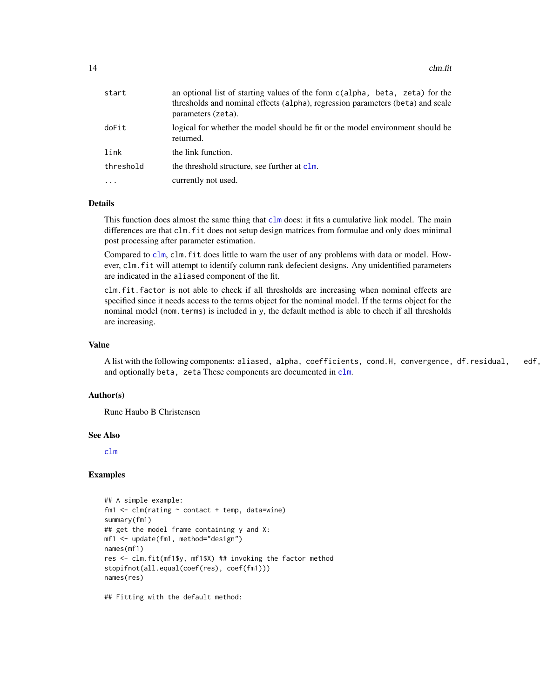| start     | an optional list of starting values of the form c(alpha, beta, zeta) for the<br>thresholds and nominal effects (alpha), regression parameters (beta) and scale<br>parameters (zeta). |
|-----------|--------------------------------------------------------------------------------------------------------------------------------------------------------------------------------------|
| doFit     | logical for whether the model should be fit or the model environment should be<br>returned.                                                                                          |
| link      | the link function.                                                                                                                                                                   |
| threshold | the threshold structure, see further at clm.                                                                                                                                         |
|           | currently not used.                                                                                                                                                                  |

## Details

This function does almost the same thing that [clm](#page-6-1) does: it fits a cumulative link model. The main differences are that clm.fit does not setup design matrices from formulae and only does minimal post processing after parameter estimation.

Compared to [clm](#page-6-1), clm.fit does little to warn the user of any problems with data or model. However, clm.fit will attempt to identify column rank defecient designs. Any unidentified parameters are indicated in the aliased component of the fit.

clm.fit.factor is not able to check if all thresholds are increasing when nominal effects are specified since it needs access to the terms object for the nominal model. If the terms object for the nominal model (nom.terms) is included in y, the default method is able to chech if all thresholds are increasing.

## Value

A list with the following components: aliased, alpha, coefficients, cond.H, convergence, df.residual, edf, and optionally beta, zeta These components are documented in [clm](#page-6-1).

#### Author(s)

Rune Haubo B Christensen

#### See Also

[clm](#page-6-1)

## Examples

```
## A simple example:
fm1 \leftarrow \text{clm}(\text{rating} \sim \text{contact} + \text{temp}, \text{ data} = \text{wire})summary(fm1)
## get the model frame containing y and X:
mf1 <- update(fm1, method="design")
names(mf1)
res <- clm.fit(mf1$y, mf1$X) ## invoking the factor method
stopifnot(all.equal(coef(res), coef(fm1)))
names(res)
```
## Fitting with the default method: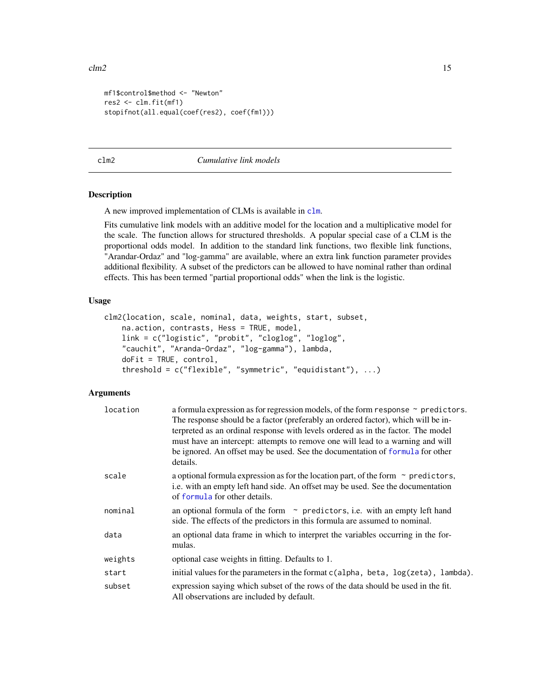```
mf1$control$method <- "Newton"
res2 <- clm.fit(mf1)
stopifnot(all.equal(coef(res2), coef(fm1)))
```
<span id="page-14-1"></span>clm2 *Cumulative link models*

#### Description

A new improved implementation of CLMs is available in [clm](#page-6-1).

Fits cumulative link models with an additive model for the location and a multiplicative model for the scale. The function allows for structured thresholds. A popular special case of a CLM is the proportional odds model. In addition to the standard link functions, two flexible link functions, "Arandar-Ordaz" and "log-gamma" are available, where an extra link function parameter provides additional flexibility. A subset of the predictors can be allowed to have nominal rather than ordinal effects. This has been termed "partial proportional odds" when the link is the logistic.

#### Usage

```
clm2(location, scale, nominal, data, weights, start, subset,
   na.action, contrasts, Hess = TRUE, model,
    link = c("logistic", "probit", "cloglog", "loglog",
    "cauchit", "Aranda-Ordaz", "log-gamma"), lambda,
    doFit = TRUE, control,
    threshold = c("flexible", "symmetric", "equidistant"), ...)
```

| location | a formula expression as for regression models, of the form response $\sim$ predictors.<br>The response should be a factor (preferably an ordered factor), which will be in-<br>terpreted as an ordinal response with levels ordered as in the factor. The model<br>must have an intercept: attempts to remove one will lead to a warning and will<br>be ignored. An offset may be used. See the documentation of formula for other<br>details. |
|----------|------------------------------------------------------------------------------------------------------------------------------------------------------------------------------------------------------------------------------------------------------------------------------------------------------------------------------------------------------------------------------------------------------------------------------------------------|
| scale    | a optional formula expression as for the location part, of the form $\sim$ predictors,<br>i.e. with an empty left hand side. An offset may be used. See the documentation<br>of formula for other details.                                                                                                                                                                                                                                     |
| nominal  | an optional formula of the form $\sim$ predictors, i.e. with an empty left hand<br>side. The effects of the predictors in this formula are assumed to nominal.                                                                                                                                                                                                                                                                                 |
| data     | an optional data frame in which to interpret the variables occurring in the for-<br>mulas.                                                                                                                                                                                                                                                                                                                                                     |
| weights  | optional case weights in fitting. Defaults to 1.                                                                                                                                                                                                                                                                                                                                                                                               |
| start    | initial values for the parameters in the format c(alpha, beta, log(zeta), lambda).                                                                                                                                                                                                                                                                                                                                                             |
| subset   | expression saying which subset of the rows of the data should be used in the fit.<br>All observations are included by default.                                                                                                                                                                                                                                                                                                                 |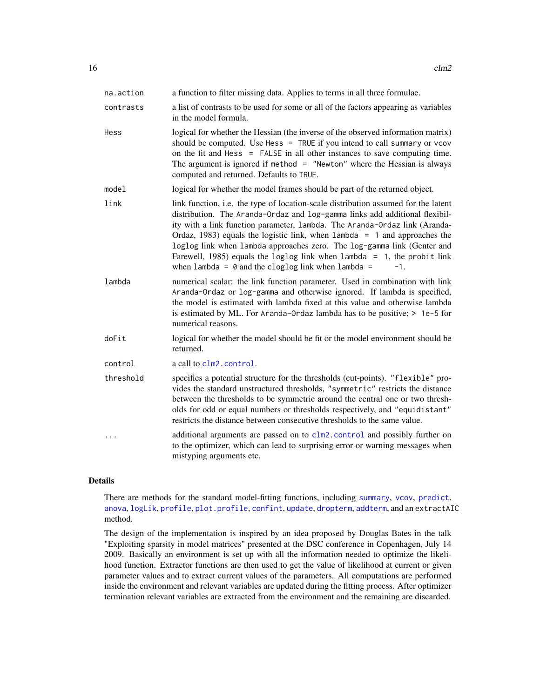<span id="page-15-0"></span>

| na.action | a function to filter missing data. Applies to terms in all three formulae.                                                                                                                                                                                                                                                                                                                                                                                                                                                                                  |
|-----------|-------------------------------------------------------------------------------------------------------------------------------------------------------------------------------------------------------------------------------------------------------------------------------------------------------------------------------------------------------------------------------------------------------------------------------------------------------------------------------------------------------------------------------------------------------------|
| contrasts | a list of contrasts to be used for some or all of the factors appearing as variables<br>in the model formula.                                                                                                                                                                                                                                                                                                                                                                                                                                               |
| Hess      | logical for whether the Hessian (the inverse of the observed information matrix)<br>should be computed. Use Hess = TRUE if you intend to call summary or vcov<br>on the fit and Hess = FALSE in all other instances to save computing time.<br>The argument is ignored if method $=$ "Newton" where the Hessian is always<br>computed and returned. Defaults to TRUE.                                                                                                                                                                                       |
| model     | logical for whether the model frames should be part of the returned object.                                                                                                                                                                                                                                                                                                                                                                                                                                                                                 |
| link      | link function, i.e. the type of location-scale distribution assumed for the latent<br>distribution. The Aranda-Ordaz and log-gamma links add additional flexibil-<br>ity with a link function parameter, lambda. The Aranda-Ordaz link (Aranda-<br>Ordaz, 1983) equals the logistic link, when $l$ ambda = 1 and approaches the<br>loglog link when lambda approaches zero. The log-gamma link (Genter and<br>Farewell, 1985) equals the loglog link when lambda = 1, the probit link<br>when lambda = $\theta$ and the cloglog link when lambda =<br>$-1.$ |
| lambda    | numerical scalar: the link function parameter. Used in combination with link<br>Aranda-Ordaz or log-gamma and otherwise ignored. If lambda is specified,<br>the model is estimated with lambda fixed at this value and otherwise lambda<br>is estimated by ML. For Aranda-Ordaz lambda has to be positive; $> 1e-5$ for<br>numerical reasons.                                                                                                                                                                                                               |
| doFit     | logical for whether the model should be fit or the model environment should be<br>returned.                                                                                                                                                                                                                                                                                                                                                                                                                                                                 |
| control   | a call to clm2. control.                                                                                                                                                                                                                                                                                                                                                                                                                                                                                                                                    |
| threshold | specifies a potential structure for the thresholds (cut-points). "flexible" pro-<br>vides the standard unstructured thresholds, "symmetric" restricts the distance<br>between the thresholds to be symmetric around the central one or two thresh-<br>olds for odd or equal numbers or thresholds respectively, and "equidistant"<br>restricts the distance between consecutive thresholds to the same value.                                                                                                                                               |
| $\cdots$  | additional arguments are passed on to clm2. control and possibly further on<br>to the optimizer, which can lead to surprising error or warning messages when<br>mistyping arguments etc.                                                                                                                                                                                                                                                                                                                                                                    |

## Details

There are methods for the standard model-fitting functions, including [summary](#page-0-0), [vcov](#page-0-0), [predict](#page-0-0), [anova](#page-5-1), [logLik](#page-0-0), [profile](#page-31-1), [plot.profile](#page-31-1), [confint](#page-31-2), [update](#page-54-1), [dropterm](#page-3-1), [addterm](#page-3-1), and an extractAIC method.

The design of the implementation is inspired by an idea proposed by Douglas Bates in the talk "Exploiting sparsity in model matrices" presented at the DSC conference in Copenhagen, July 14 2009. Basically an environment is set up with all the information needed to optimize the likelihood function. Extractor functions are then used to get the value of likelihood at current or given parameter values and to extract current values of the parameters. All computations are performed inside the environment and relevant variables are updated during the fitting process. After optimizer termination relevant variables are extracted from the environment and the remaining are discarded.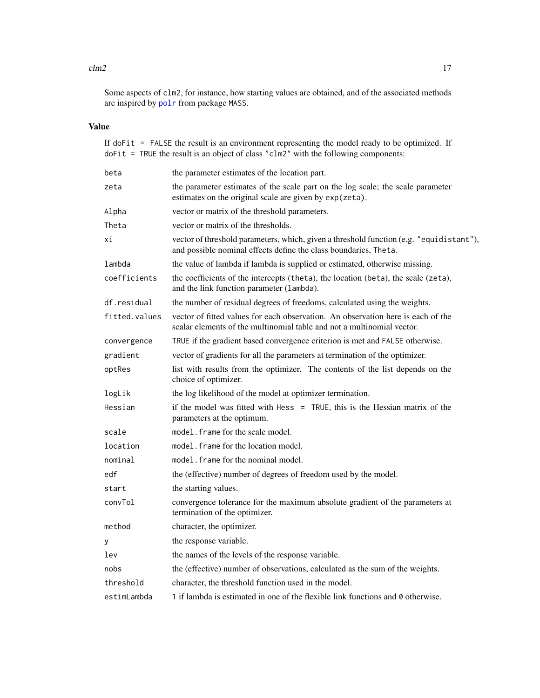#### <span id="page-16-0"></span> $\text{clm2}$  and  $\text{clm2}$  17

Some aspects of clm2, for instance, how starting values are obtained, and of the associated methods are inspired by [polr](#page-0-0) from package MASS.

## Value

If doFit = FALSE the result is an environment representing the model ready to be optimized. If doFit = TRUE the result is an object of class "clm2" with the following components:

| beta          | the parameter estimates of the location part.                                                                                                               |
|---------------|-------------------------------------------------------------------------------------------------------------------------------------------------------------|
| zeta          | the parameter estimates of the scale part on the log scale; the scale parameter<br>estimates on the original scale are given by exp(zeta).                  |
| Alpha         | vector or matrix of the threshold parameters.                                                                                                               |
| Theta         | vector or matrix of the thresholds.                                                                                                                         |
| хi            | vector of threshold parameters, which, given a threshold function (e.g. "equidistant"),<br>and possible nominal effects define the class boundaries, Theta. |
| lambda        | the value of lambda if lambda is supplied or estimated, otherwise missing.                                                                                  |
| coefficients  | the coefficients of the intercepts (theta), the location (beta), the scale (zeta),<br>and the link function parameter (lambda).                             |
| df.residual   | the number of residual degrees of freedoms, calculated using the weights.                                                                                   |
| fitted.values | vector of fitted values for each observation. An observation here is each of the<br>scalar elements of the multinomial table and not a multinomial vector.  |
| convergence   | TRUE if the gradient based convergence criterion is met and FALSE otherwise.                                                                                |
| gradient      | vector of gradients for all the parameters at termination of the optimizer.                                                                                 |
| optRes        | list with results from the optimizer. The contents of the list depends on the<br>choice of optimizer.                                                       |
| logLik        | the log likelihood of the model at optimizer termination.                                                                                                   |
| Hessian       | if the model was fitted with Hess = TRUE, this is the Hessian matrix of the<br>parameters at the optimum.                                                   |
| scale         | model. frame for the scale model.                                                                                                                           |
| location      | model. frame for the location model.                                                                                                                        |
| nominal       | model. frame for the nominal model.                                                                                                                         |
| edf           | the (effective) number of degrees of freedom used by the model.                                                                                             |
| start         | the starting values.                                                                                                                                        |
| convTol       | convergence tolerance for the maximum absolute gradient of the parameters at<br>termination of the optimizer.                                               |
| method        | character, the optimizer.                                                                                                                                   |
| у             | the response variable.                                                                                                                                      |
| lev           | the names of the levels of the response variable.                                                                                                           |
| nobs          | the (effective) number of observations, calculated as the sum of the weights.                                                                               |
| threshold     | character, the threshold function used in the model.                                                                                                        |
| estimLambda   | 1 if lambda is estimated in one of the flexible link functions and 0 otherwise.                                                                             |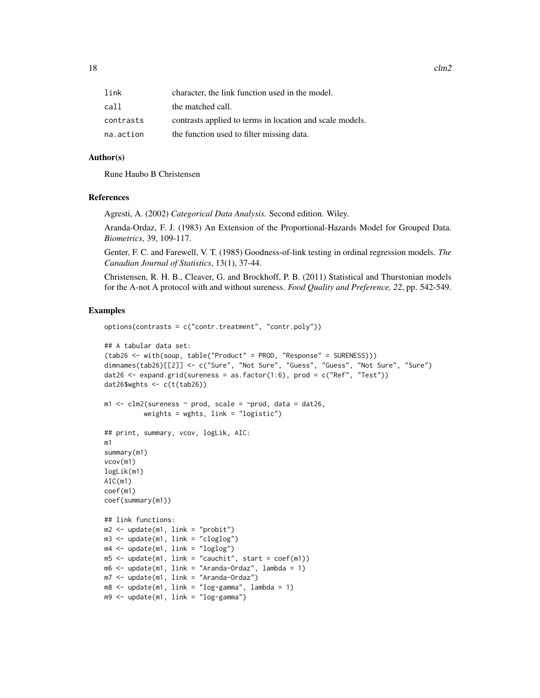$18$  clm2

| link      | character, the link function used in the model.          |
|-----------|----------------------------------------------------------|
| call      | the matched call.                                        |
| contrasts | contrasts applied to terms in location and scale models. |
| na.action | the function used to filter missing data.                |

#### Author(s)

Rune Haubo B Christensen

#### References

Agresti, A. (2002) *Categorical Data Analysis.* Second edition. Wiley.

Aranda-Ordaz, F. J. (1983) An Extension of the Proportional-Hazards Model for Grouped Data. *Biometrics*, 39, 109-117.

Genter, F. C. and Farewell, V. T. (1985) Goodness-of-link testing in ordinal regression models. *The Canadian Journal of Statistics*, 13(1), 37-44.

Christensen, R. H. B., Cleaver, G. and Brockhoff, P. B. (2011) Statistical and Thurstonian models for the A-not A protocol with and without sureness. *Food Quality and Preference, 22*, pp. 542-549.

#### Examples

```
options(contrasts = c("contr.treatment", "contr.poly"))
## A tabular data set:
(tab26 <- with(soup, table("Product" = PROD, "Response" = SURENESS)))
dimnames(tab26)[[2]] <- c("Sure", "Not Sure", "Guess", "Guess", "Not Sure", "Sure")
dat26 \leq expand.grid(sureness = as.factor(1:6), prod = c("Ref", "Test"))
dat26$wghts <- c(t(tab26))
m1 \leq -c1m2(sureness \sim prod, scale = \simprod, data = dat26,
          weights = wghts, link = "logistic")
## print, summary, vcov, logLik, AIC:
m1
summary(m1)
vcov(m1)
logLik(m1)
AIC(m1)
coef(m1)
coef(summary(m1))
## link functions:
m2 \leq update(m1, link = "probit")
m3 <- update(m1, link = "cloglog")
m4 <- update(m1, link = "loglog")
m5 <- update(m1, link = "cauchit", start = coef(m1))
m6 <- update(m1, link = "Aranda-Ordaz", lambda = 1)
m7 <- update(m1, link = "Aranda-Ordaz")
m8 \leq update(m1, link = "log-gamma", lambda = 1)
m9 <- update(m1, link = "log-gamma")
```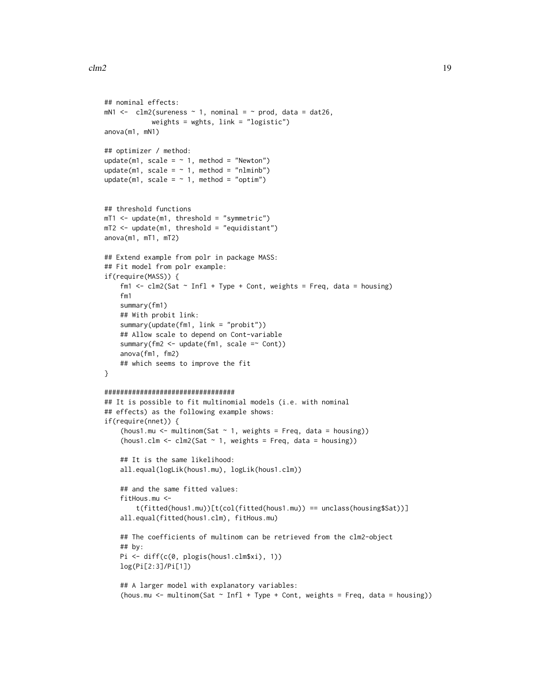```
## nominal effects:
mN1 < - \text{clm2}(sureness \sim 1, nominal = \sim prod, data = dat26,
            weights = wghts, link = "logistic")
anova(m1, mN1)
## optimizer / method:
update(m1, scale = \sim 1, method = "Newton")
update(m1, scale = \sim 1, method = "nlminb")
update(m1, scale = \sim 1, method = "optim")
## threshold functions
mT1 <- update(m1, threshold = "symmetric")
mT2 < - update(m1, threshold = "equidistant")
anova(m1, mT1, mT2)
## Extend example from polr in package MASS:
## Fit model from polr example:
if(require(MASS)) {
    fm1 <- clm2(Sat \sim Infl + Type + Cont, weights = Freq, data = housing)
    fm1
   summary(fm1)
    ## With probit link:
    summary(update(fm1, link = "probit"))
    ## Allow scale to depend on Cont-variable
    summary(fm2 <- update(fm1, scale =~ Cont))
   anova(fm1, fm2)
   ## which seems to improve the fit
}
#################################
## It is possible to fit multinomial models (i.e. with nominal
## effects) as the following example shows:
if(require(nnet)) {
    (hous1.mu \leq multinom(Sat \sim 1, weights = Freq, data = housing))
    (hous1.clm <- clm2(Sat \sim 1, weights = Freq, data = housing))
    ## It is the same likelihood:
   all.equal(logLik(hous1.mu), logLik(hous1.clm))
    ## and the same fitted values:
    fitHous.mu <-
        t(fitted(hous1.mu))[t(col(fitted(hous1.mu)) == unclass(housing$Sat))]
    all.equal(fitted(hous1.clm), fitHous.mu)
    ## The coefficients of multinom can be retrieved from the clm2-object
    ## by:
   Pi <- diff(c(0, plogis(hous1.clm$xi), 1))
   log(Pi[2:3]/Pi[1])
    ## A larger model with explanatory variables:
    (hous.mu <- multinom(Sat ~ Infl + Type + Cont, weights = Freq, data = housing))
```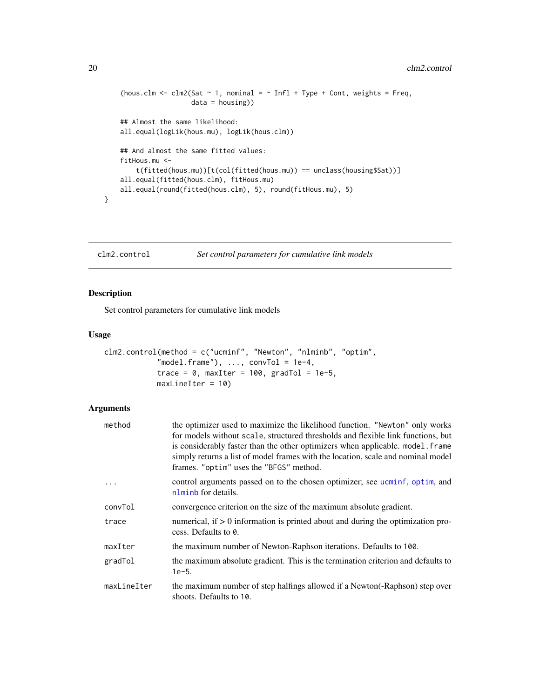```
(hous.clm <- clm2(Sat \sim 1, nominal = \sim Infl + Type + Cont, weights = Freq,
                  data = housing))
## Almost the same likelihood:
all.equal(logLik(hous.mu), logLik(hous.clm))
## And almost the same fitted values:
fitHous.mu <-
    t(fitted(hous.mu))[t(col(fitted(hous.mu)) == unclass(housing$Sat))]
all.equal(fitted(hous.clm), fitHous.mu)
all.equal(round(fitted(hous.clm), 5), round(fitHous.mu), 5)
```
<span id="page-19-1"></span>clm2.control *Set control parameters for cumulative link models*

## Description

}

Set control parameters for cumulative link models

## Usage

```
clm2.control(method = c("ucminf", "Newton", "nlminb", "optim",
            "model.frame"), \ldots, conv\text{tol} = 1e-4,
            trace = 0, maxIter = 100, gradTol = 1e-5,
            maxLineIter = 10
```

| method      | the optimizer used to maximize the likelihood function. "Newton" only works<br>for models without scale, structured thresholds and flexible link functions, but<br>is considerably faster than the other optimizers when applicable. model. frame<br>simply returns a list of model frames with the location, scale and nominal model<br>frames. "optim" uses the "BFGS" method. |
|-------------|----------------------------------------------------------------------------------------------------------------------------------------------------------------------------------------------------------------------------------------------------------------------------------------------------------------------------------------------------------------------------------|
|             | control arguments passed on to the chosen optimizer; see ucminf, optim, and<br>nlminb for details.                                                                                                                                                                                                                                                                               |
| convTol     | convergence criterion on the size of the maximum absolute gradient.                                                                                                                                                                                                                                                                                                              |
| trace       | numerical, if $> 0$ information is printed about and during the optimization pro-<br>cess. Defaults to 0.                                                                                                                                                                                                                                                                        |
| maxIter     | the maximum number of Newton-Raphson iterations. Defaults to 100.                                                                                                                                                                                                                                                                                                                |
| gradTol     | the maximum absolute gradient. This is the termination criterion and defaults to<br>$1e-5.$                                                                                                                                                                                                                                                                                      |
| maxLineIter | the maximum number of step halfings allowed if a Newton (-Raphson) step over<br>shoots. Defaults to 10.                                                                                                                                                                                                                                                                          |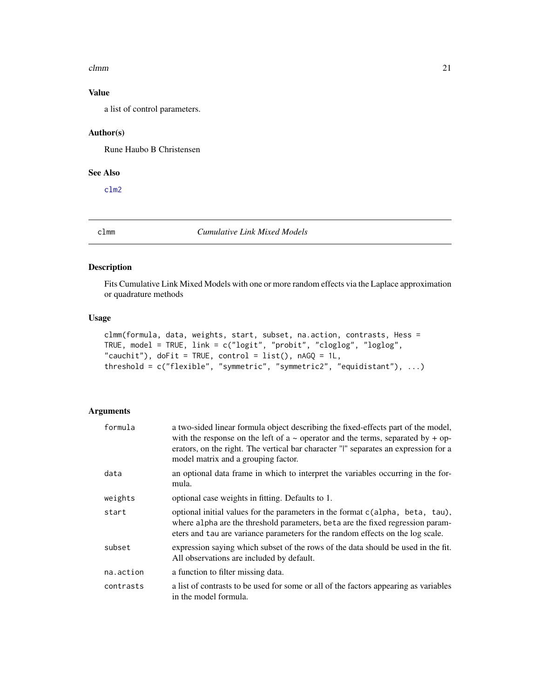#### <span id="page-20-0"></span> $clmm$  21

## Value

a list of control parameters.

#### Author(s)

Rune Haubo B Christensen

## See Also

[clm2](#page-14-1)

<span id="page-20-1"></span>clmm *Cumulative Link Mixed Models*

## Description

Fits Cumulative Link Mixed Models with one or more random effects via the Laplace approximation or quadrature methods

#### Usage

```
clmm(formula, data, weights, start, subset, na.action, contrasts, Hess =
TRUE, model = TRUE, link = c("logit", "probit", "cloglog", "loglog",
"cauchit"), doFit = TRUE, control = list(), nAGQ = 1L,
threshold = c("flexible", "symmetric", "symmetric2", "equidistant"), ...)
```

| formula   | a two-sided linear formula object describing the fixed-effects part of the model,<br>with the response on the left of $a \sim$ operator and the terms, separated by + op-<br>erators, on the right. The vertical bar character "I" separates an expression for a<br>model matrix and a grouping factor. |
|-----------|---------------------------------------------------------------------------------------------------------------------------------------------------------------------------------------------------------------------------------------------------------------------------------------------------------|
| data      | an optional data frame in which to interpret the variables occurring in the for-<br>mula.                                                                                                                                                                                                               |
| weights   | optional case weights in fitting. Defaults to 1.                                                                                                                                                                                                                                                        |
| start     | optional initial values for the parameters in the format c(alpha, beta, tau),<br>where alpha are the threshold parameters, beta are the fixed regression param-<br>eters and tau are variance parameters for the random effects on the log scale.                                                       |
| subset    | expression saying which subset of the rows of the data should be used in the fit.<br>All observations are included by default.                                                                                                                                                                          |
| na.action | a function to filter missing data.                                                                                                                                                                                                                                                                      |
| contrasts | a list of contrasts to be used for some or all of the factors appearing as variables<br>in the model formula.                                                                                                                                                                                           |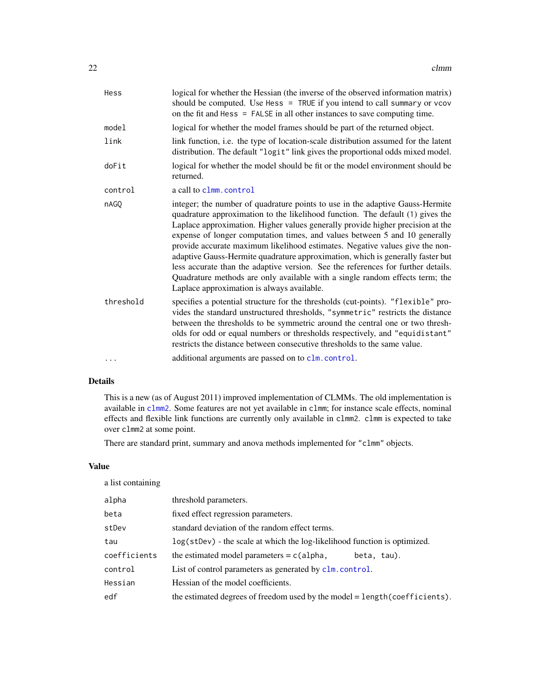<span id="page-21-0"></span>

| Hess      | logical for whether the Hessian (the inverse of the observed information matrix)<br>should be computed. Use Hess = TRUE if you intend to call summary or vcov<br>on the fit and Hess = FALSE in all other instances to save computing time.                                                                                                                                                                                                                                                                                                                                                                                                                                                                         |
|-----------|---------------------------------------------------------------------------------------------------------------------------------------------------------------------------------------------------------------------------------------------------------------------------------------------------------------------------------------------------------------------------------------------------------------------------------------------------------------------------------------------------------------------------------------------------------------------------------------------------------------------------------------------------------------------------------------------------------------------|
| model     | logical for whether the model frames should be part of the returned object.                                                                                                                                                                                                                                                                                                                                                                                                                                                                                                                                                                                                                                         |
| link      | link function, i.e. the type of location-scale distribution assumed for the latent<br>distribution. The default "logit" link gives the proportional odds mixed model.                                                                                                                                                                                                                                                                                                                                                                                                                                                                                                                                               |
| doFit     | logical for whether the model should be fit or the model environment should be<br>returned.                                                                                                                                                                                                                                                                                                                                                                                                                                                                                                                                                                                                                         |
| control   | a call to clmm. control                                                                                                                                                                                                                                                                                                                                                                                                                                                                                                                                                                                                                                                                                             |
| nAGO      | integer; the number of quadrature points to use in the adaptive Gauss-Hermite<br>quadrature approximation to the likelihood function. The default (1) gives the<br>Laplace approximation. Higher values generally provide higher precision at the<br>expense of longer computation times, and values between 5 and 10 generally<br>provide accurate maximum likelihood estimates. Negative values give the non-<br>adaptive Gauss-Hermite quadrature approximation, which is generally faster but<br>less accurate than the adaptive version. See the references for further details.<br>Quadrature methods are only available with a single random effects term; the<br>Laplace approximation is always available. |
| threshold | specifies a potential structure for the thresholds (cut-points). "flexible" pro-<br>vides the standard unstructured thresholds, "symmetric" restricts the distance<br>between the thresholds to be symmetric around the central one or two thresh-<br>olds for odd or equal numbers or thresholds respectively, and "equidistant"<br>restricts the distance between consecutive thresholds to the same value.                                                                                                                                                                                                                                                                                                       |
|           | additional arguments are passed on to clm. control.                                                                                                                                                                                                                                                                                                                                                                                                                                                                                                                                                                                                                                                                 |

## Details

This is a new (as of August 2011) improved implementation of CLMMs. The old implementation is available in [clmm2](#page-23-1). Some features are not yet available in clmm; for instance scale effects, nominal effects and flexible link functions are currently only available in clmm2. clmm is expected to take over clmm2 at some point.

There are standard print, summary and anova methods implemented for "clmm" objects.

## Value

a list containing

| alpha        | threshold parameters.                                                      |
|--------------|----------------------------------------------------------------------------|
| beta         | fixed effect regression parameters.                                        |
| stDev        | standard deviation of the random effect terms.                             |
| tau          | log(stDev) - the scale at which the log-likelihood function is optimized.  |
| coefficients | the estimated model parameters $= c$ (alpha,<br>beta, tau).                |
| control      | List of control parameters as generated by clm. control.                   |
| Hessian      | Hessian of the model coefficients.                                         |
| edf          | the estimated degrees of freedom used by the model = length(coefficients). |
|              |                                                                            |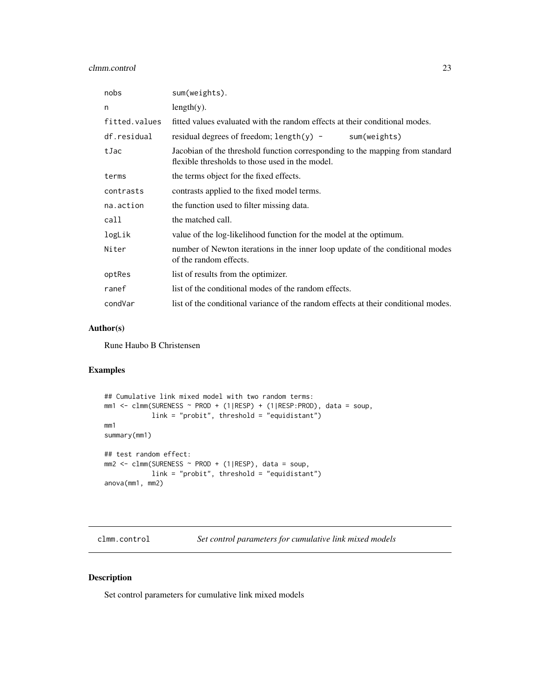<span id="page-22-0"></span>

| nobs          | sum(weights).                                                                                                                    |
|---------------|----------------------------------------------------------------------------------------------------------------------------------|
| n             | $length(y)$ .                                                                                                                    |
| fitted.values | fitted values evaluated with the random effects at their conditional modes.                                                      |
| df.residual   | residual degrees of freedom; length(y) -<br>sum(weights)                                                                         |
| tJac          | Jacobian of the threshold function corresponding to the mapping from standard<br>flexible thresholds to those used in the model. |
| terms         | the terms object for the fixed effects.                                                                                          |
| contrasts     | contrasts applied to the fixed model terms.                                                                                      |
| na.action     | the function used to filter missing data.                                                                                        |
| call          | the matched call.                                                                                                                |
| logLik        | value of the log-likelihood function for the model at the optimum.                                                               |
| Niter         | number of Newton iterations in the inner loop update of the conditional modes<br>of the random effects.                          |
| optRes        | list of results from the optimizer.                                                                                              |
| ranef         | list of the conditional modes of the random effects.                                                                             |
| condVar       | list of the conditional variance of the random effects at their conditional modes.                                               |

## Author(s)

Rune Haubo B Christensen

## Examples

```
## Cumulative link mixed model with two random terms:
mm1 <- clmm(SURENESS ~ PROD + (1|RESP) + (1|RESP:PROD), data = soup,
            link = "probit", threshold = "equidistant")
mm1
summary(mm1)
## test random effect:
mm2 <- clmm(SURENESS ~ PROD + (1|RESP), data = soup,
            link = "probit", threshold = "equidistant")
anova(mm1, mm2)
```
<span id="page-22-1"></span>clmm.control *Set control parameters for cumulative link mixed models*

## Description

Set control parameters for cumulative link mixed models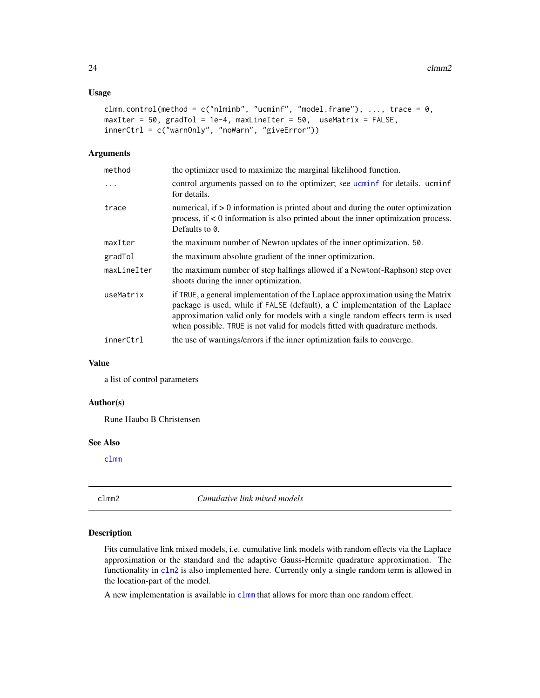## <span id="page-23-0"></span>Usage

```
clmm.control(method = c("nlminb", "uccminf", "model-frame"), ..., trace = 0,maxIter = 50, gradTol = 1e-4, maxLineIter = 50, useMatrix = FALSE,
innerCtrl = c("warnOnly", "noWarn", "giveError"))
```
#### Arguments

| method      | the optimizer used to maximize the marginal likelihood function.                                                                                                                                                                                                                                                                |
|-------------|---------------------------------------------------------------------------------------------------------------------------------------------------------------------------------------------------------------------------------------------------------------------------------------------------------------------------------|
| $\ddots$    | control arguments passed on to the optimizer; see <i>ucminf</i> for details. ucminf<br>for details.                                                                                                                                                                                                                             |
| trace       | numerical, if $> 0$ information is printed about and during the outer optimization<br>process, if $\lt 0$ information is also printed about the inner optimization process.<br>Defaults to 0.                                                                                                                                   |
| maxIter     | the maximum number of Newton updates of the inner optimization. 50.                                                                                                                                                                                                                                                             |
| gradTol     | the maximum absolute gradient of the inner optimization.                                                                                                                                                                                                                                                                        |
| maxLineIter | the maximum number of step halfings allowed if a Newton(-Raphson) step over<br>shoots during the inner optimization.                                                                                                                                                                                                            |
| useMatrix   | if TRUE, a general implementation of the Laplace approximation using the Matrix<br>package is used, while if FALSE (default), a C implementation of the Laplace<br>approximation valid only for models with a single random effects term is used<br>when possible. TRUE is not valid for models fitted with quadrature methods. |
| innerCtrl   | the use of warnings/errors if the inner optimization fails to converge.                                                                                                                                                                                                                                                         |
|             |                                                                                                                                                                                                                                                                                                                                 |

#### Value

a list of control parameters

## Author(s)

Rune Haubo B Christensen

#### See Also

[clmm](#page-20-1)

<span id="page-23-1"></span>clmm2 *Cumulative link mixed models*

## Description

Fits cumulative link mixed models, i.e. cumulative link models with random effects via the Laplace approximation or the standard and the adaptive Gauss-Hermite quadrature approximation. The functionality in [clm2](#page-14-1) is also implemented here. Currently only a single random term is allowed in the location-part of the model.

A new implementation is available in [clmm](#page-20-1) that allows for more than one random effect.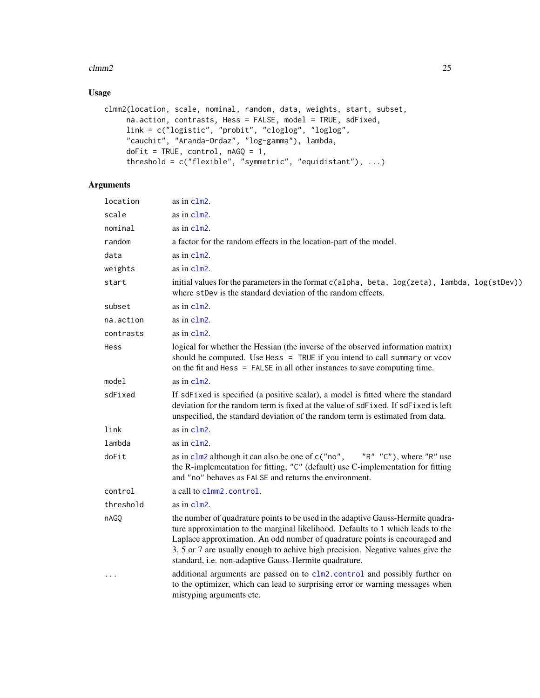#### <span id="page-24-0"></span> $clmm2$  25

## Usage

```
clmm2(location, scale, nominal, random, data, weights, start, subset,
     na.action, contrasts, Hess = FALSE, model = TRUE, sdFixed,
     link = c("logistic", "probit", "cloglog", "loglog",
     "cauchit", "Aranda-Ordaz", "log-gamma"), lambda,
     doFit = TRUE, control, nAGQ = 1,
     threshold = c("flexible", "symmetric", "equidistant"), ...)
```

| location  | as in clm2.                                                                                                                                                                                                                                                                                                                                                                                    |
|-----------|------------------------------------------------------------------------------------------------------------------------------------------------------------------------------------------------------------------------------------------------------------------------------------------------------------------------------------------------------------------------------------------------|
| scale     | as in clm2.                                                                                                                                                                                                                                                                                                                                                                                    |
| nominal   | as in clm2.                                                                                                                                                                                                                                                                                                                                                                                    |
| random    | a factor for the random effects in the location-part of the model.                                                                                                                                                                                                                                                                                                                             |
| data      | as in clm2.                                                                                                                                                                                                                                                                                                                                                                                    |
| weights   | as in clm2.                                                                                                                                                                                                                                                                                                                                                                                    |
| start     | initial values for the parameters in the format c(alpha, beta, log(zeta), lambda, log(stDev))<br>where stDev is the standard deviation of the random effects.                                                                                                                                                                                                                                  |
| subset    | as in clm2.                                                                                                                                                                                                                                                                                                                                                                                    |
| na.action | as in clm2.                                                                                                                                                                                                                                                                                                                                                                                    |
| contrasts | as in $c1m2$ .                                                                                                                                                                                                                                                                                                                                                                                 |
| Hess      | logical for whether the Hessian (the inverse of the observed information matrix)<br>should be computed. Use Hess = TRUE if you intend to call summary or vcov<br>on the fit and $Hess = FALSE$ in all other instances to save computing time.                                                                                                                                                  |
| model     | as in $clm2$ .                                                                                                                                                                                                                                                                                                                                                                                 |
| sdFixed   | If sdFixed is specified (a positive scalar), a model is fitted where the standard<br>deviation for the random term is fixed at the value of sdFixed. If sdFixed is left<br>unspecified, the standard deviation of the random term is estimated from data.                                                                                                                                      |
| link      | as in $c1m2$ .                                                                                                                                                                                                                                                                                                                                                                                 |
| lambda    | as in clm2.                                                                                                                                                                                                                                                                                                                                                                                    |
| doFit     | " $R''$ " $C''$ ), where " $R''$ use<br>as in $c1m2$ although it can also be one of $c$ ("no",<br>the R-implementation for fitting, "C" (default) use C-implementation for fitting<br>and "no" behaves as FALSE and returns the environment.                                                                                                                                                   |
| control   | a call to clmm2. control.                                                                                                                                                                                                                                                                                                                                                                      |
| threshold | as in clm2.                                                                                                                                                                                                                                                                                                                                                                                    |
| nAGQ      | the number of quadrature points to be used in the adaptive Gauss-Hermite quadra-<br>ture approximation to the marginal likelihood. Defaults to 1 which leads to the<br>Laplace approximation. An odd number of quadrature points is encouraged and<br>3, 5 or 7 are usually enough to achive high precision. Negative values give the<br>standard, i.e. non-adaptive Gauss-Hermite quadrature. |
| .         | additional arguments are passed on to clm2. control and possibly further on<br>to the optimizer, which can lead to surprising error or warning messages when<br>mistyping arguments etc.                                                                                                                                                                                                       |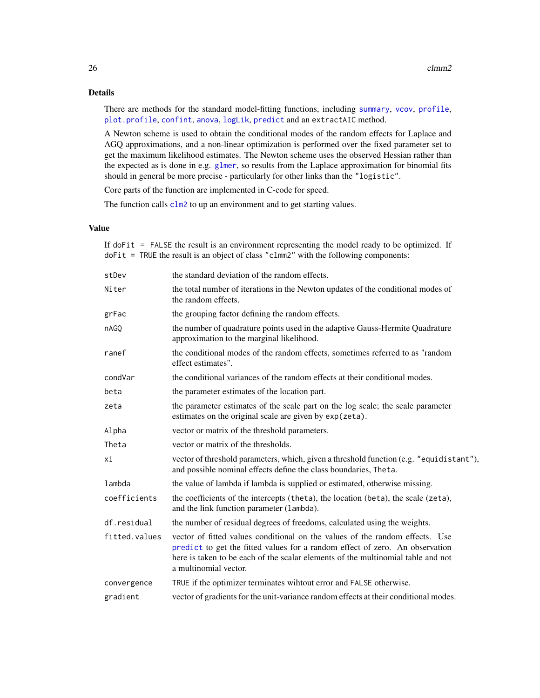## <span id="page-25-0"></span>Details

There are methods for the standard model-fitting functions, including [summary](#page-0-0), [vcov](#page-0-0), [profile](#page-48-1), [plot.profile](#page-48-1), [confint](#page-48-2), [anova](#page-5-1), [logLik](#page-0-0), [predict](#page-46-1) and an extractAIC method.

A Newton scheme is used to obtain the conditional modes of the random effects for Laplace and AGQ approximations, and a non-linear optimization is performed over the fixed parameter set to get the maximum likelihood estimates. The Newton scheme uses the observed Hessian rather than the expected as is done in e.g. [glmer](#page-0-0), so results from the Laplace approximation for binomial fits should in general be more precise - particularly for other links than the "logistic".

Core parts of the function are implemented in C-code for speed.

The function calls  $c \ln 2$  to up an environment and to get starting values.

## Value

If doFit = FALSE the result is an environment representing the model ready to be optimized. If doFit = TRUE the result is an object of class "clmm2" with the following components:

| stDev         | the standard deviation of the random effects.                                                                                                                                                                                                                             |
|---------------|---------------------------------------------------------------------------------------------------------------------------------------------------------------------------------------------------------------------------------------------------------------------------|
| Niter         | the total number of iterations in the Newton updates of the conditional modes of<br>the random effects.                                                                                                                                                                   |
| grFac         | the grouping factor defining the random effects.                                                                                                                                                                                                                          |
| nAGQ          | the number of quadrature points used in the adaptive Gauss-Hermite Quadrature<br>approximation to the marginal likelihood.                                                                                                                                                |
| ranef         | the conditional modes of the random effects, sometimes referred to as "random<br>effect estimates".                                                                                                                                                                       |
| condVar       | the conditional variances of the random effects at their conditional modes.                                                                                                                                                                                               |
| beta          | the parameter estimates of the location part.                                                                                                                                                                                                                             |
| zeta          | the parameter estimates of the scale part on the log scale; the scale parameter<br>estimates on the original scale are given by exp(zeta).                                                                                                                                |
| Alpha         | vector or matrix of the threshold parameters.                                                                                                                                                                                                                             |
| Theta         | vector or matrix of the thresholds.                                                                                                                                                                                                                                       |
| хi            | vector of threshold parameters, which, given a threshold function (e.g. "equidistant"),<br>and possible nominal effects define the class boundaries, Theta.                                                                                                               |
| lambda        | the value of lambda if lambda is supplied or estimated, otherwise missing.                                                                                                                                                                                                |
| coefficients  | the coefficients of the intercepts (theta), the location (beta), the scale (zeta),<br>and the link function parameter (lambda).                                                                                                                                           |
| df.residual   | the number of residual degrees of freedoms, calculated using the weights.                                                                                                                                                                                                 |
| fitted.values | vector of fitted values conditional on the values of the random effects. Use<br>predict to get the fitted values for a random effect of zero. An observation<br>here is taken to be each of the scalar elements of the multinomial table and not<br>a multinomial vector. |
| convergence   | TRUE if the optimizer terminates wihtout error and FALSE otherwise.                                                                                                                                                                                                       |
| gradient      | vector of gradients for the unit-variance random effects at their conditional modes.                                                                                                                                                                                      |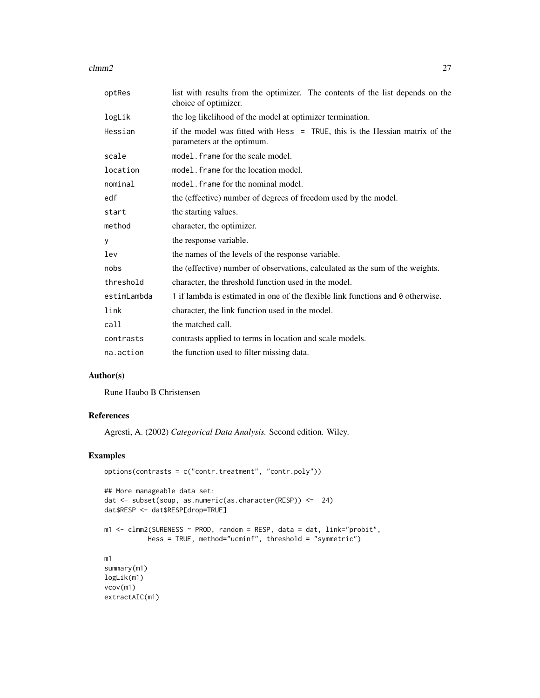$clmm2$  27

| optRes      | list with results from the optimizer. The contents of the list depends on the<br>choice of optimizer.       |
|-------------|-------------------------------------------------------------------------------------------------------------|
| logLik      | the log likelihood of the model at optimizer termination.                                                   |
| Hessian     | if the model was fitted with Hess $=$ TRUE, this is the Hessian matrix of the<br>parameters at the optimum. |
| scale       | model. frame for the scale model.                                                                           |
| location    | model. frame for the location model.                                                                        |
| nominal     | model. frame for the nominal model.                                                                         |
| edf         | the (effective) number of degrees of freedom used by the model.                                             |
| start       | the starting values.                                                                                        |
| method      | character, the optimizer.                                                                                   |
| У           | the response variable.                                                                                      |
| lev         | the names of the levels of the response variable.                                                           |
| nobs        | the (effective) number of observations, calculated as the sum of the weights.                               |
| threshold   | character, the threshold function used in the model.                                                        |
| estimLambda | 1 if lambda is estimated in one of the flexible link functions and 0 otherwise.                             |
| link        | character, the link function used in the model.                                                             |
| call        | the matched call.                                                                                           |
| contrasts   | contrasts applied to terms in location and scale models.                                                    |
| na.action   | the function used to filter missing data.                                                                   |

#### Author(s)

Rune Haubo B Christensen

## References

Agresti, A. (2002) *Categorical Data Analysis.* Second edition. Wiley.

## Examples

```
options(contrasts = c("contr.treatment", "contr.poly"))
## More manageable data set:
dat <- subset(soup, as.numeric(as.character(RESP)) <= 24)
dat$RESP <- dat$RESP[drop=TRUE]
m1 <- clmm2(SURENESS ~ PROD, random = RESP, data = dat, link="probit",
          Hess = TRUE, method="ucminf", threshold = "symmetric")
m1
summary(m1)
logLik(m1)
vcov(m1)
extractAIC(m1)
```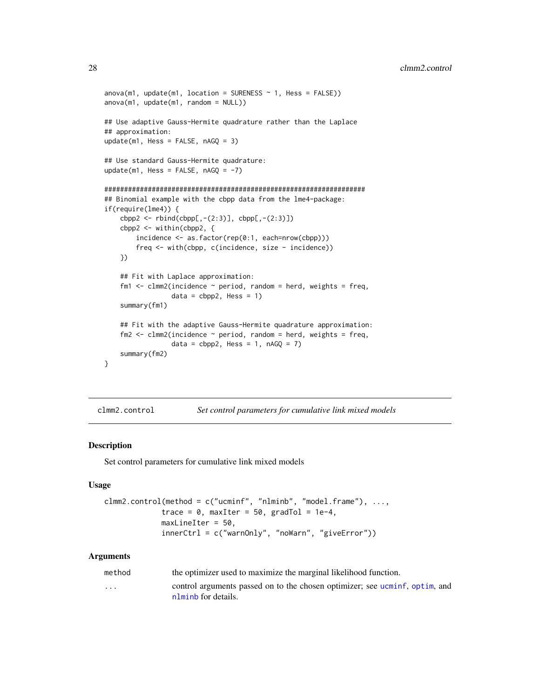```
anova(m1, update(m1, location = SURENESS ~ 1, Hess = FALSE))anova(m1, update(m1, random = NULL))
## Use adaptive Gauss-Hermite quadrature rather than the Laplace
## approximation:
update(m1, Hess = FALSE, nAGQ = 3)
## Use standard Gauss-Hermite quadrature:
update(m1, Hess = FALSE, nAGQ = -7)
##################################################################
## Binomial example with the cbpp data from the lme4-package:
if(require(lme4)) {
    cbpp2 \leq -rbind(cbpp[, -(2:3)], cbpp[, -(2:3)]cbpp2 <- within(cbpp2, {
        incidence <- as.factor(rep(0:1, each=nrow(cbpp)))
        freq <- with(cbpp, c(incidence, size - incidence))
    })
    ## Fit with Laplace approximation:
    fm1 \le - clmm2(incidence \sim period, random = herd, weights = freq,
                 data = cbpp2, Hess = 1)
    summary(fm1)
    ## Fit with the adaptive Gauss-Hermite quadrature approximation:
    fm2 \leq clmm2(incidence \sim period, random = herd, weights = freq,data = cbpp2, Hess = 1, nAGQ = 7)
    summary(fm2)
}
```
<span id="page-27-1"></span>clmm2.control *Set control parameters for cumulative link mixed models*

#### Description

Set control parameters for cumulative link mixed models

## Usage

```
clmm2.control(method = c("ucminf", "nlminb", "model.frame"), ...,
             trace = 0, maxIter = 50, gradTol = 1e-4,
             maxLineIter = 50,
             innerCtrl = c("warnOnly", "noWarn", "giveError"))
```

| method   | the optimizer used to maximize the marginal likelihood function.                                   |
|----------|----------------------------------------------------------------------------------------------------|
| $\cdots$ | control arguments passed on to the chosen optimizer; see ucminf, optim, and<br>nlminb for details. |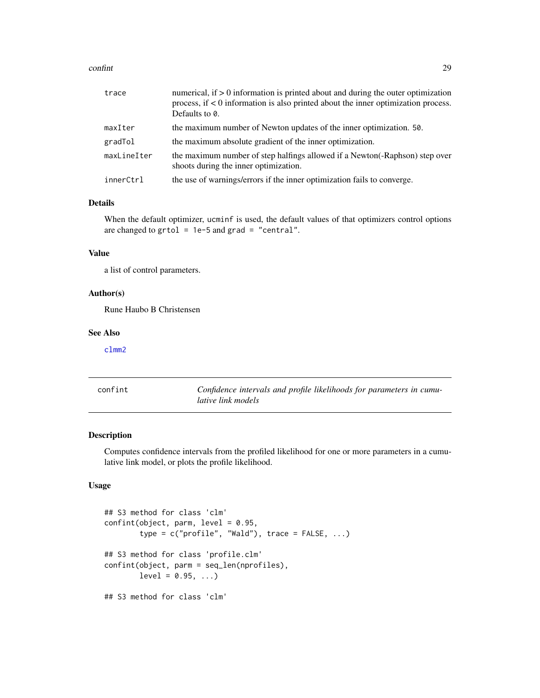#### <span id="page-28-0"></span>confint 29

| trace       | numerical, if $> 0$ information is printed about and during the outer optimization<br>process, if $\lt 0$ information is also printed about the inner optimization process.<br>Defaults to 0. |
|-------------|-----------------------------------------------------------------------------------------------------------------------------------------------------------------------------------------------|
| maxIter     | the maximum number of Newton updates of the inner optimization. 50.                                                                                                                           |
| gradTol     | the maximum absolute gradient of the inner optimization.                                                                                                                                      |
| maxLineIter | the maximum number of step halfings allowed if a Newton (-Raphson) step over<br>shoots during the inner optimization.                                                                         |
| innerCtrl   | the use of warnings/errors if the inner optimization fails to converge.                                                                                                                       |

## Details

When the default optimizer, ucminf is used, the default values of that optimizers control options are changed to  $grtol = 1e-5$  and  $grad = "central".$ 

#### Value

a list of control parameters.

#### Author(s)

Rune Haubo B Christensen

#### See Also

[clmm2](#page-23-1)

<span id="page-28-1"></span>confint *Confidence intervals and profile likelihoods for parameters in cumulative link models*

## Description

Computes confidence intervals from the profiled likelihood for one or more parameters in a cumulative link model, or plots the profile likelihood.

#### Usage

```
## S3 method for class 'clm'
confint(object, parm, level = 0.95,type = c("profile", "Wald"), trace = FALSE, ...)## S3 method for class 'profile.clm'
confint(object, parm = seq_len(nprofiles),
       level = 0.95, ...## S3 method for class 'clm'
```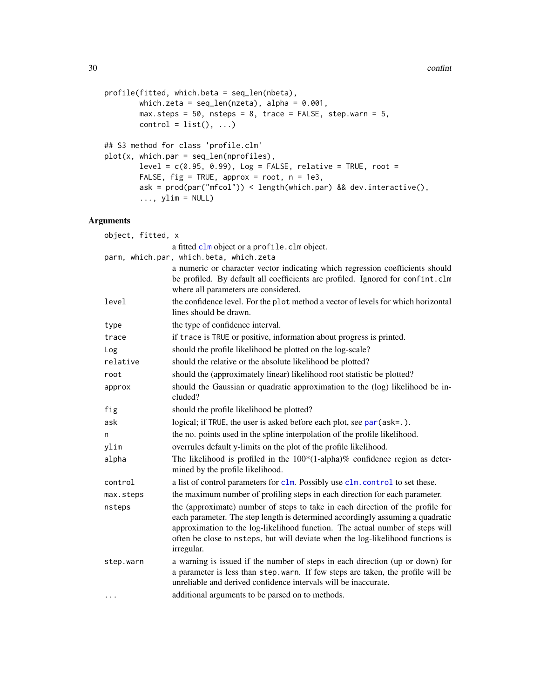```
profile(fitted, which.beta = seq_len(nbeta),
        which.zeta = seq\_len(nzeta), alpha = 0.001,
        max. steps = 50, nsteps = 8, trace = FALSE, step. warm = 5,
        control = list(), ...)## S3 method for class 'profile.clm'
plot(x, which.par = seq_len(nprofiles),
        level = c(0.95, 0.99), Log = FALSE, relative = TRUE, root =FALSE, fig = TRUE, approx = root, n = 1e3,
        ask = prod(par("mfcol")) < length(which.par) && dev.interactive(),
        \ldots, ylim = NULL)
```

| object, fitted, x |                                                                                                                                                                                                                                                                                                                                                    |
|-------------------|----------------------------------------------------------------------------------------------------------------------------------------------------------------------------------------------------------------------------------------------------------------------------------------------------------------------------------------------------|
|                   | a fitted clm object or a profile. clm object.                                                                                                                                                                                                                                                                                                      |
|                   | parm, which.par, which.beta, which.zeta                                                                                                                                                                                                                                                                                                            |
|                   | a numeric or character vector indicating which regression coefficients should<br>be profiled. By default all coefficients are profiled. Ignored for confint.clm<br>where all parameters are considered.                                                                                                                                            |
| level             | the confidence level. For the plot method a vector of levels for which horizontal<br>lines should be drawn.                                                                                                                                                                                                                                        |
| type              | the type of confidence interval.                                                                                                                                                                                                                                                                                                                   |
| trace             | if trace is TRUE or positive, information about progress is printed.                                                                                                                                                                                                                                                                               |
| Log               | should the profile likelihood be plotted on the log-scale?                                                                                                                                                                                                                                                                                         |
| relative          | should the relative or the absolute likelihood be plotted?                                                                                                                                                                                                                                                                                         |
| root              | should the (approximately linear) likelihood root statistic be plotted?                                                                                                                                                                                                                                                                            |
| approx            | should the Gaussian or quadratic approximation to the (log) likelihood be in-<br>cluded?                                                                                                                                                                                                                                                           |
| fig               | should the profile likelihood be plotted?                                                                                                                                                                                                                                                                                                          |
| ask               | logical; if TRUE, the user is asked before each plot, see par (ask=.).                                                                                                                                                                                                                                                                             |
| n                 | the no. points used in the spline interpolation of the profile likelihood.                                                                                                                                                                                                                                                                         |
| ylim              | overrules default y-limits on the plot of the profile likelihood.                                                                                                                                                                                                                                                                                  |
| alpha             | The likelihood is profiled in the $100*(1\text{-alpha})\%$ confidence region as deter-<br>mined by the profile likelihood.                                                                                                                                                                                                                         |
| control           | a list of control parameters for clm. Possibly use clm. control to set these.                                                                                                                                                                                                                                                                      |
| max.steps         | the maximum number of profiling steps in each direction for each parameter.                                                                                                                                                                                                                                                                        |
| nsteps            | the (approximate) number of steps to take in each direction of the profile for<br>each parameter. The step length is determined accordingly assuming a quadratic<br>approximation to the log-likelihood function. The actual number of steps will<br>often be close to nsteps, but will deviate when the log-likelihood functions is<br>irregular. |
| step.warn         | a warning is issued if the number of steps in each direction (up or down) for<br>a parameter is less than step. warn. If few steps are taken, the profile will be<br>unreliable and derived confidence intervals will be inaccurate.                                                                                                               |
| $\cdots$          | additional arguments to be parsed on to methods.                                                                                                                                                                                                                                                                                                   |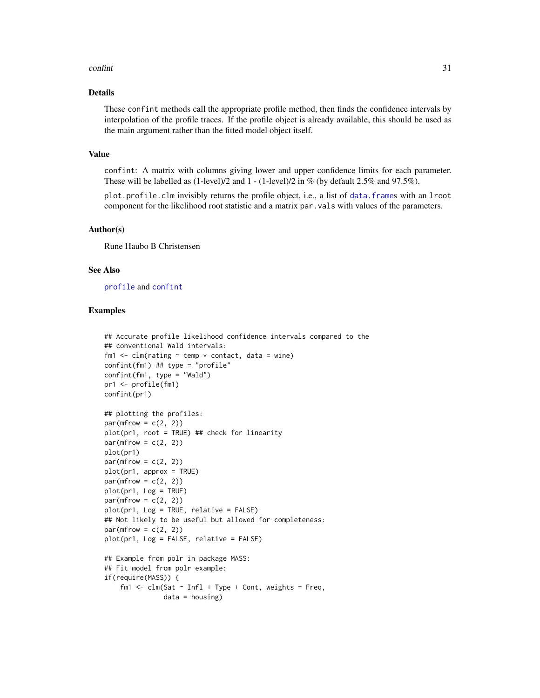#### <span id="page-30-0"></span>confint 31

## Details

These confint methods call the appropriate profile method, then finds the confidence intervals by interpolation of the profile traces. If the profile object is already available, this should be used as the main argument rather than the fitted model object itself.

#### Value

confint: A matrix with columns giving lower and upper confidence limits for each parameter. These will be labelled as  $(1$ -level)/2 and  $1 - (1$ -level)/2 in % (by default 2.5% and 97.5%).

plot.profile.clm invisibly returns the profile object, i.e., a list of [data.frame](#page-0-0)s with an lroot component for the likelihood root statistic and a matrix par.vals with values of the parameters.

#### Author(s)

Rune Haubo B Christensen

#### See Also

[profile](#page-0-0) and [confint](#page-28-1)

#### Examples

```
## Accurate profile likelihood confidence intervals compared to the
## conventional Wald intervals:
fm1 \le - clm(rating \sim temp \star contact, data = wine)
confint(fm1) ## type = "profile"
confint(fm1, type = "Wald")pr1 <- profile(fm1)
confint(pr1)
## plotting the profiles:
par(mfrow = c(2, 2))plot(pr1, root = TRUE) ## check for linearity
par(mfrow = c(2, 2))plot(pr1)
par(mfrow = c(2, 2))plot(pr1, approx = TRUE)
par(mfrow = c(2, 2))plot(pr1, Log = TRUE)
par(mfrow = c(2, 2))plot(pr1, Log = TRUE, relative = FALSE)
## Not likely to be useful but allowed for completeness:
par(mfrow = c(2, 2))plot(pr1, Log = FALSE, relative = FALSE)
## Example from polr in package MASS:
## Fit model from polr example:
if(require(MASS)) {
    fm1 <- clm(Sat \sim Infl + Type + Cont, weights = Freq,data = housing)
```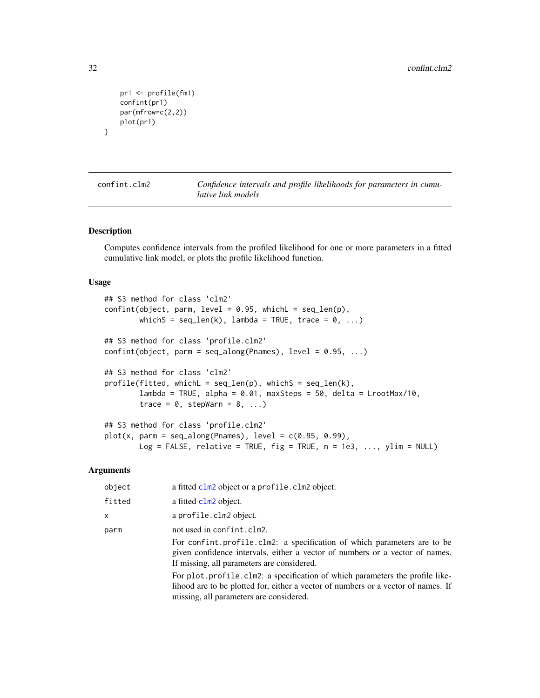```
pr1 <- profile(fm1)
confint(pr1)
par(mfrow=c(2,2))
plot(pr1)
```
<span id="page-31-2"></span>

confint.clm2 *Confidence intervals and profile likelihoods for parameters in cumulative link models*

#### <span id="page-31-1"></span>Description

}

Computes confidence intervals from the profiled likelihood for one or more parameters in a fitted cumulative link model, or plots the profile likelihood function.

#### Usage

```
## S3 method for class 'clm2'
confint(object, parm, level = 0.95, which = seq_length(p),whichS = seq\_len(k), lambda = TRUE, trace = 0, ...)
## S3 method for class 'profile.clm2'
confint(object, parm = seq_along(Parameters), level = 0.95, ...)## S3 method for class 'clm2'
profile(fitted, whichL = seq_length(p), whichS = seq_length(k),lambda = TRUE, alpha = 0.01, maxSteps = 50, delta = LrootMax/10,
        trace = 0, stepWarn = 8, ...)
## S3 method for class 'profile.clm2'
plot(x, parm = seq_along(Parameters), level = c(0.95, 0.99),Log = FALSE, relative = TRUE, fig = TRUE, n = 1e3, ..., ylim = NULL)
```

| object | a fitted clm2 object or a profile. clm2 object.                                                                                                                                                                                      |
|--------|--------------------------------------------------------------------------------------------------------------------------------------------------------------------------------------------------------------------------------------|
| fitted | a fitted clm2 object.                                                                                                                                                                                                                |
| X      | a profile.clm2 object.                                                                                                                                                                                                               |
| parm   | not used in confint.clm2.<br>For confint. profile. clm2: a specification of which parameters are to be<br>given confidence intervals, either a vector of numbers or a vector of names.<br>If missing, all parameters are considered. |
|        | For plot. profile. clm2: a specification of which parameters the profile like-<br>lihood are to be plotted for, either a vector of numbers or a vector of names. If<br>missing, all parameters are considered.                       |

<span id="page-31-0"></span>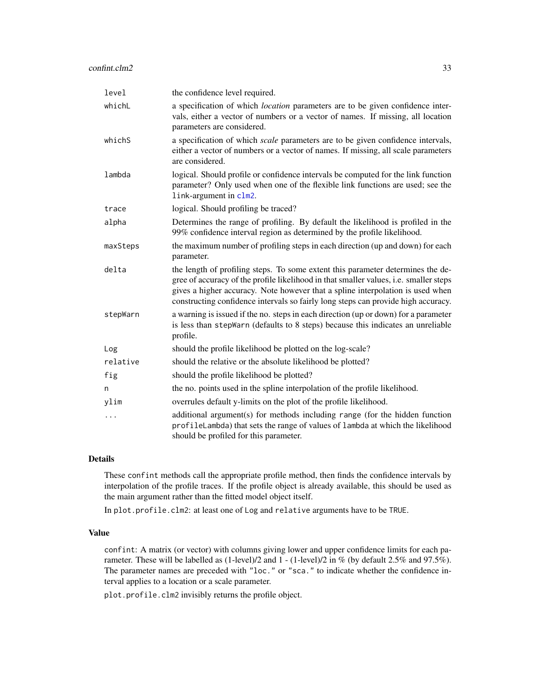<span id="page-32-0"></span>

| level    | the confidence level required.                                                                                                                                                                                                                                                                                                                  |
|----------|-------------------------------------------------------------------------------------------------------------------------------------------------------------------------------------------------------------------------------------------------------------------------------------------------------------------------------------------------|
| whichL   | a specification of which location parameters are to be given confidence inter-<br>vals, either a vector of numbers or a vector of names. If missing, all location<br>parameters are considered.                                                                                                                                                 |
| whichS   | a specification of which <i>scale</i> parameters are to be given confidence intervals,<br>either a vector of numbers or a vector of names. If missing, all scale parameters<br>are considered.                                                                                                                                                  |
| lambda   | logical. Should profile or confidence intervals be computed for the link function<br>parameter? Only used when one of the flexible link functions are used; see the<br>link-argument in clm2.                                                                                                                                                   |
| trace    | logical. Should profiling be traced?                                                                                                                                                                                                                                                                                                            |
| alpha    | Determines the range of profiling. By default the likelihood is profiled in the<br>99% confidence interval region as determined by the profile likelihood.                                                                                                                                                                                      |
| maxSteps | the maximum number of profiling steps in each direction (up and down) for each<br>parameter.                                                                                                                                                                                                                                                    |
| delta    | the length of profiling steps. To some extent this parameter determines the de-<br>gree of accuracy of the profile likelihood in that smaller values, i.e. smaller steps<br>gives a higher accuracy. Note however that a spline interpolation is used when<br>constructing confidence intervals so fairly long steps can provide high accuracy. |
| stepWarn | a warning is issued if the no. steps in each direction (up or down) for a parameter<br>is less than stepWarn (defaults to 8 steps) because this indicates an unreliable<br>profile.                                                                                                                                                             |
| Log      | should the profile likelihood be plotted on the log-scale?                                                                                                                                                                                                                                                                                      |
| relative | should the relative or the absolute likelihood be plotted?                                                                                                                                                                                                                                                                                      |
| fig      | should the profile likelihood be plotted?                                                                                                                                                                                                                                                                                                       |
| n        | the no. points used in the spline interpolation of the profile likelihood.                                                                                                                                                                                                                                                                      |
| ylim     | overrules default y-limits on the plot of the profile likelihood.                                                                                                                                                                                                                                                                               |
| .        | additional argument(s) for methods including range (for the hidden function<br>profileLambda) that sets the range of values of lambda at which the likelihood<br>should be profiled for this parameter.                                                                                                                                         |

#### Details

These confint methods call the appropriate profile method, then finds the confidence intervals by interpolation of the profile traces. If the profile object is already available, this should be used as the main argument rather than the fitted model object itself.

In plot.profile.clm2: at least one of Log and relative arguments have to be TRUE.

#### Value

confint: A matrix (or vector) with columns giving lower and upper confidence limits for each parameter. These will be labelled as (1-level)/2 and 1 - (1-level)/2 in % (by default 2.5% and 97.5%). The parameter names are preceded with "loc." or "sca." to indicate whether the confidence interval applies to a location or a scale parameter.

plot.profile.clm2 invisibly returns the profile object.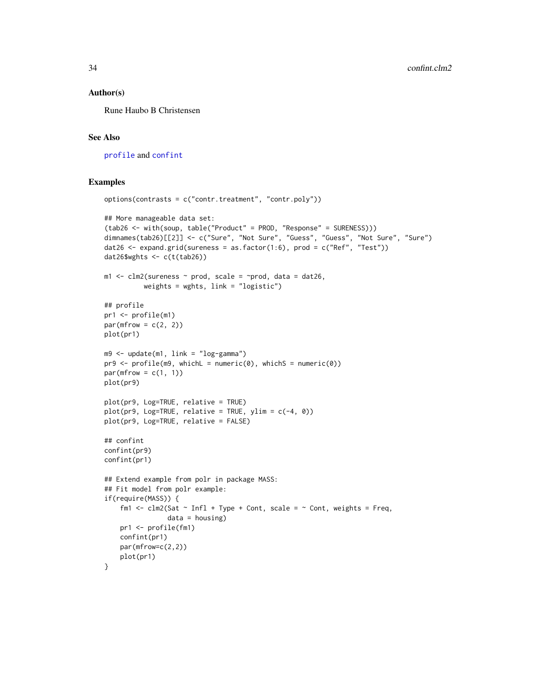#### <span id="page-33-0"></span>Author(s)

Rune Haubo B Christensen

#### See Also

[profile](#page-0-0) and [confint](#page-28-1)

#### Examples

```
options(contrasts = c("contr.treatment", "contr.poly"))
## More manageable data set:
(tab26 <- with(soup, table("Product" = PROD, "Response" = SURENESS)))
dimnames(tab26)[[2]] <- c("Sure", "Not Sure", "Guess", "Guess", "Not Sure", "Sure")
dat26 <- expand.grid(sureness = as.factor(1:6), prod = c("Ref", "Test"))
dat26$wghts <- c(t(tab26))
m1 <- clm2(sureness \sim prod, scale = \simprod, data = dat26,
          weights = wghts, link = "logistic")
## profile
pr1 <- profile(m1)
par(mfrow = c(2, 2))plot(pr1)
m9 <- update(m1, link = "log-gamma")
pr9 \leq pr6file(m9, whichL = numeric(0), whichS = numeric(0))par(mfrow = c(1, 1))plot(pr9)
plot(pr9, Log=TRUE, relative = TRUE)
plot(pr9, Log=TRUE, relative = TRUE, ylim = c(-4, 0))plot(pr9, Log=TRUE, relative = FALSE)
## confint
confint(pr9)
confint(pr1)
## Extend example from polr in package MASS:
## Fit model from polr example:
if(require(MASS)) {
    fm1 <- clm2(Sat \sim Infl + Type + Cont, scale = \sim Cont, weights = Freq,
                data = housing)pr1 <- profile(fm1)
   confint(pr1)
   par(mfrow=c(2,2))
   plot(pr1)
}
```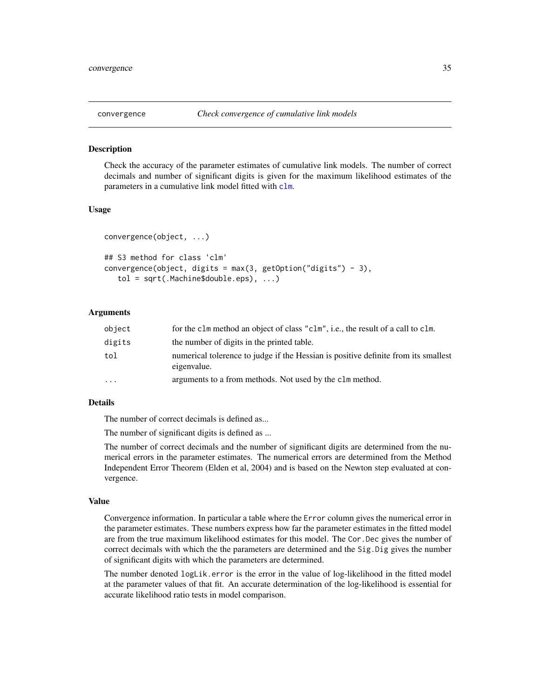<span id="page-34-0"></span>

#### Description

Check the accuracy of the parameter estimates of cumulative link models. The number of correct decimals and number of significant digits is given for the maximum likelihood estimates of the parameters in a cumulative link model fitted with [clm](#page-6-1).

#### Usage

```
convergence(object, ...)
## S3 method for class 'clm'
convergence(object, digits = max(3, getOption("digits") - 3),tol = sqrt(.Machine$double.eps), ...)
```
#### Arguments

| object | for the clm method an object of class "clm", i.e., the result of a call to clm.                   |
|--------|---------------------------------------------------------------------------------------------------|
| digits | the number of digits in the printed table.                                                        |
| tol    | numerical tolerance to judge if the Hessian is positive definite from its smallest<br>eigenvalue. |
| .      | arguments to a from methods. Not used by the clm method.                                          |

## Details

The number of correct decimals is defined as...

The number of significant digits is defined as ...

The number of correct decimals and the number of significant digits are determined from the numerical errors in the parameter estimates. The numerical errors are determined from the Method Independent Error Theorem (Elden et al, 2004) and is based on the Newton step evaluated at convergence.

#### Value

Convergence information. In particular a table where the Error column gives the numerical error in the parameter estimates. These numbers express how far the parameter estimates in the fitted model are from the true maximum likelihood estimates for this model. The Cor.Dec gives the number of correct decimals with which the the parameters are determined and the Sig.Dig gives the number of significant digits with which the parameters are determined.

The number denoted logLik.error is the error in the value of log-likelihood in the fitted model at the parameter values of that fit. An accurate determination of the log-likelihood is essential for accurate likelihood ratio tests in model comparison.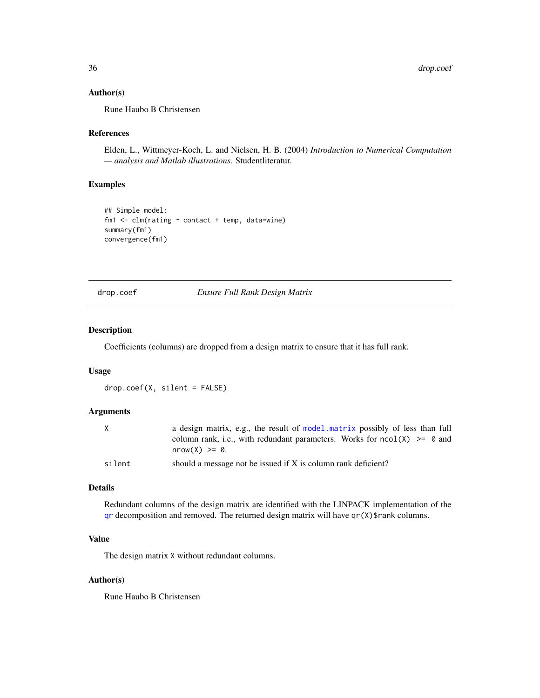#### <span id="page-35-0"></span>Author(s)

Rune Haubo B Christensen

## References

Elden, L., Wittmeyer-Koch, L. and Nielsen, H. B. (2004) *Introduction to Numerical Computation — analysis and Matlab illustrations.* Studentliteratur.

## Examples

```
## Simple model:
fm1 \leq \text{clm}(\text{rating} \sim \text{contact} + \text{temp}, \text{ data} = \text{wire})summary(fm1)
convergence(fm1)
```
drop.coef *Ensure Full Rank Design Matrix*

## Description

Coefficients (columns) are dropped from a design matrix to ensure that it has full rank.

#### Usage

drop.coef(X, silent = FALSE)

## Arguments

| X      | a design matrix, e.g., the result of model matrix possibly of less than full |
|--------|------------------------------------------------------------------------------|
|        | column rank, i.e., with redundant parameters. Works for $ncol(X) \ge 0$ and  |
|        | $nrow(X) \ge 0$ .                                                            |
| silent | should a message not be issued if X is column rank deficient?                |

## Details

Redundant columns of the design matrix are identified with the LINPACK implementation of the  $qr$  decomposition and removed. The returned design matrix will have  $qr(X)$ \$rank columns.

## Value

The design matrix X without redundant columns.

#### Author(s)

Rune Haubo B Christensen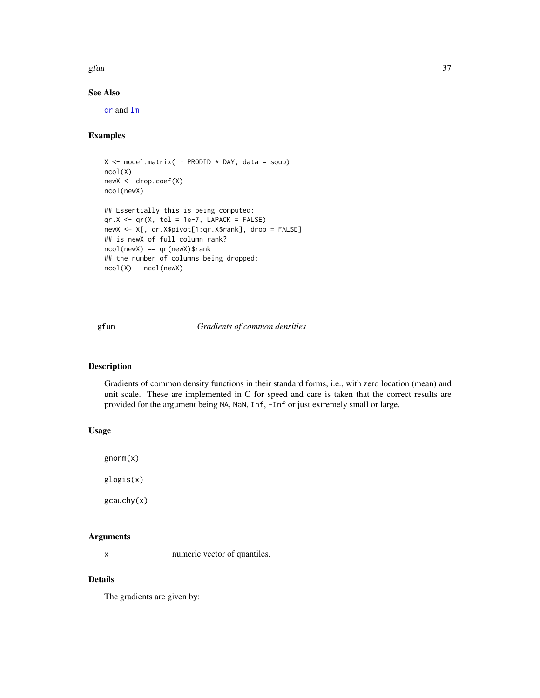<span id="page-36-0"></span>gfun  $37$ 

## See Also

[qr](#page-0-0) and [lm](#page-0-0)

## Examples

```
X \le - model.matrix( \sim PRODID \star DAY, data = soup)
ncol(X)
newX <- drop.coef(X)
ncol(newX)
## Essentially this is being computed:
qr.X \leftarrow qr(X, tol = 1e-7, LAPACK = FALSE)newX <- X[, qr.X$pivot[1:qr.X$rank], drop = FALSE]
## is newX of full column rank?
ncol(newX) == qr(newX)$rank
## the number of columns being dropped:
ncol(X) - ncol(newX)
```
gfun *Gradients of common densities*

#### <span id="page-36-1"></span>Description

Gradients of common density functions in their standard forms, i.e., with zero location (mean) and unit scale. These are implemented in C for speed and care is taken that the correct results are provided for the argument being NA, NaN, Inf, -Inf or just extremely small or large.

#### Usage

gnorm(x)

glogis(x)

gcauchy(x)

#### Arguments

x numeric vector of quantiles.

#### Details

The gradients are given by: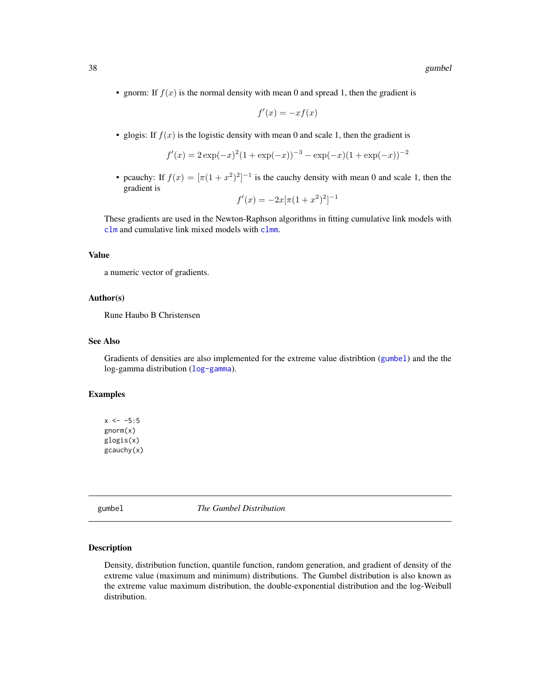<span id="page-37-0"></span>• gnorm: If  $f(x)$  is the normal density with mean 0 and spread 1, then the gradient is

$$
f'(x) = -xf(x)
$$

• glogis: If  $f(x)$  is the logistic density with mean 0 and scale 1, then the gradient is

$$
f'(x) = 2\exp(-x)^{2}(1+\exp(-x))^{-3} - \exp(-x)(1+\exp(-x))^{-2}
$$

• pcauchy: If  $f(x) = [\pi(1 + x^2)^2]^{-1}$  is the cauchy density with mean 0 and scale 1, then the gradient is

$$
f'(x) = -2x[\pi(1+x^2)^2]^{-1}
$$

These gradients are used in the Newton-Raphson algorithms in fitting cumulative link models with [clm](#page-6-1) and cumulative link mixed models with [clmm](#page-20-1).

#### Value

a numeric vector of gradients.

#### Author(s)

Rune Haubo B Christensen

## See Also

Gradients of densities are also implemented for the extreme value distribtion ([gumbel](#page-37-1)) and the the log-gamma distribution ([log-gamma](#page-41-1)).

#### Examples

```
x \le -5:5gnorm(x)
glogis(x)
gcauchy(x)
```
gumbel *The Gumbel Distribution*

#### <span id="page-37-1"></span>Description

Density, distribution function, quantile function, random generation, and gradient of density of the extreme value (maximum and minimum) distributions. The Gumbel distribution is also known as the extreme value maximum distribution, the double-exponential distribution and the log-Weibull distribution.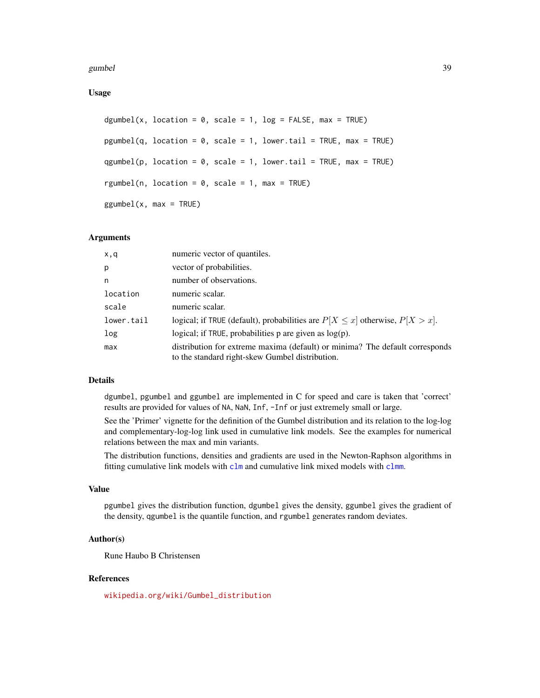<span id="page-38-0"></span>gumbel 39

Usage

```
dgumbel(x, location = 0, scale = 1, log = FALSE, max = TRUE)
pgumbel(q, location = 0, scale = 1, lower.tail = TRUE, max = TRUE)
qgumbel(p, location = 0, scale = 1, lower.tail = TRUE, max = TRUE)
rgumbel(n, location = 0, scale = 1, max = TRUE)
ggumbel(x, max = TRUE)
```
## Arguments

| x,q        | numeric vector of quantiles.                                                                                                    |
|------------|---------------------------------------------------------------------------------------------------------------------------------|
| p          | vector of probabilities.                                                                                                        |
| n          | number of observations.                                                                                                         |
| location   | numeric scalar.                                                                                                                 |
| scale      | numeric scalar.                                                                                                                 |
| lower.tail | logical; if TRUE (default), probabilities are $P[X \le x]$ otherwise, $P[X > x]$ .                                              |
| log        | logical; if TRUE, probabilities $p$ are given as $log(p)$ .                                                                     |
| max        | distribution for extreme maxima (default) or minima? The default corresponds<br>to the standard right-skew Gumbel distribution. |

## Details

dgumbel, pgumbel and ggumbel are implemented in C for speed and care is taken that 'correct' results are provided for values of NA, NaN, Inf, -Inf or just extremely small or large.

See the 'Primer' vignette for the definition of the Gumbel distribution and its relation to the log-log and complementary-log-log link used in cumulative link models. See the examples for numerical relations between the max and min variants.

The distribution functions, densities and gradients are used in the Newton-Raphson algorithms in fitting cumulative link models with [clm](#page-6-1) and cumulative link mixed models with [clmm](#page-20-1).

## Value

pgumbel gives the distribution function, dgumbel gives the density, ggumbel gives the gradient of the density, qgumbel is the quantile function, and rgumbel generates random deviates.

## Author(s)

Rune Haubo B Christensen

#### References

[wikipedia.org/wiki/Gumbel\\_distribution](wikipedia.org/wiki/Gumbel_distribution)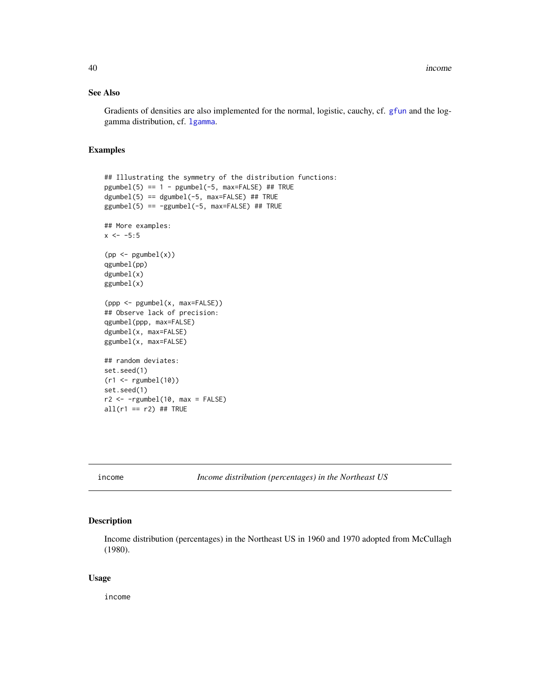## <span id="page-39-0"></span>See Also

Gradients of densities are also implemented for the normal, logistic, cauchy, cf. [gfun](#page-36-1) and the loggamma distribution, cf. [lgamma](#page-41-1).

## Examples

```
## Illustrating the symmetry of the distribution functions:
pgumbel(5) == 1 - pgumbel(-5, max=False) # H TRUEdgumbel(5) == dgumbel(-5, max=FALSE) ## TRUE
ggumbel(5) == -ggumbel(-5, max=False) # TRUE## More examples:
x < -5:5(pp <- pgumbel(x))
qgumbel(pp)
dgumbel(x)
ggumbel(x)
(ppp <- pgumbel(x, max=FALSE))
## Observe lack of precision:
qgumbel(ppp, max=FALSE)
dgumbel(x, max=FALSE)
ggumbel(x, max=FALSE)
## random deviates:
set.seed(1)
(r1 <- rgumbel(10))
set.seed(1)
r2 \leq -rgumbel(10, max = FALSE)all(r1 == r2) ## TRUE
```
income *Income distribution (percentages) in the Northeast US*

#### Description

Income distribution (percentages) in the Northeast US in 1960 and 1970 adopted from McCullagh (1980).

## Usage

income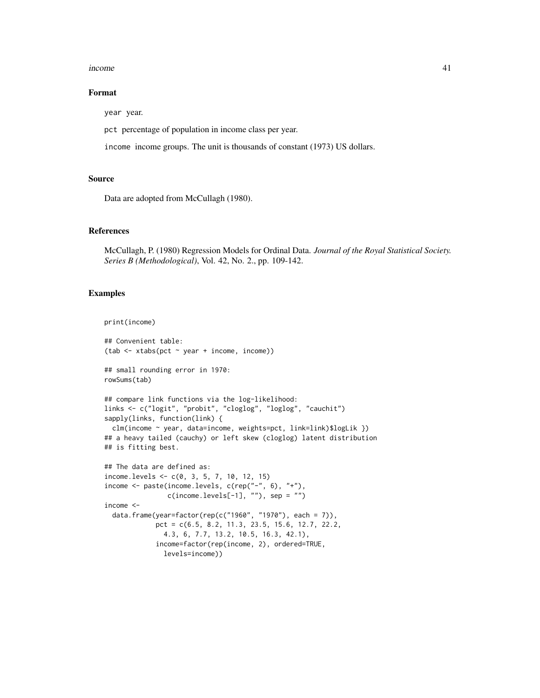#### income 41

#### Format

year year.

pct percentage of population in income class per year.

income income groups. The unit is thousands of constant (1973) US dollars.

#### Source

Data are adopted from McCullagh (1980).

## References

McCullagh, P. (1980) Regression Models for Ordinal Data. *Journal of the Royal Statistical Society. Series B (Methodological)*, Vol. 42, No. 2., pp. 109-142.

#### Examples

```
print(income)
```

```
## Convenient table:
(tab <- xtabs(pct ~ year + income, income))
## small rounding error in 1970:
rowSums(tab)
## compare link functions via the log-likelihood:
links <- c("logit", "probit", "cloglog", "loglog", "cauchit")
sapply(links, function(link) {
  clm(income ~ year, data=income, weights=pct, link=link)$logLik })
## a heavy tailed (cauchy) or left skew (cloglog) latent distribution
## is fitting best.
## The data are defined as:
income.levels <- c(0, 3, 5, 7, 10, 12, 15)
income <- paste(income.levels, c(rep("-", 6), "+"),
                c(income.levels[-1], ""), sep = "")income <-
  data.frame(year=factor(rep(c("1960", "1970"), each = 7)),
             pct = c(6.5, 8.2, 11.3, 23.5, 15.6, 12.7, 22.2,
               4.3, 6, 7.7, 13.2, 10.5, 16.3, 42.1),
             income=factor(rep(income, 2), ordered=TRUE,
               levels=income))
```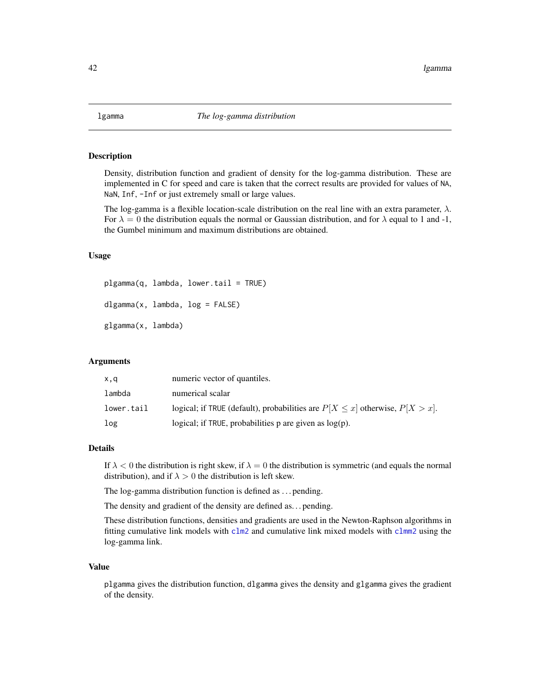#### <span id="page-41-1"></span><span id="page-41-0"></span>**Description**

Density, distribution function and gradient of density for the log-gamma distribution. These are implemented in C for speed and care is taken that the correct results are provided for values of NA, NaN, Inf, -Inf or just extremely small or large values.

The log-gamma is a flexible location-scale distribution on the real line with an extra parameter,  $\lambda$ . For  $\lambda = 0$  the distribution equals the normal or Gaussian distribution, and for  $\lambda$  equal to 1 and -1, the Gumbel minimum and maximum distributions are obtained.

## Usage

plgamma(q, lambda, lower.tail = TRUE)

dlgamma(x, lambda, log = FALSE)

glgamma(x, lambda)

#### Arguments

| x,q        | numeric vector of quantiles.                                                       |
|------------|------------------------------------------------------------------------------------|
| lambda     | numerical scalar                                                                   |
| lower.tail | logical; if TRUE (default), probabilities are $P[X \le x]$ otherwise, $P[X > x]$ . |
| log        | logical; if TRUE, probabilities $p$ are given as $log(p)$ .                        |

#### Details

If  $\lambda$  < 0 the distribution is right skew, if  $\lambda = 0$  the distribution is symmetric (and equals the normal distribution), and if  $\lambda > 0$  the distribution is left skew.

The log-gamma distribution function is defined as . . . pending.

The density and gradient of the density are defined as. . . pending.

These distribution functions, densities and gradients are used in the Newton-Raphson algorithms in fitting cumulative link models with  $c \ln 2$  and cumulative link mixed models with  $c \ln 2$  using the log-gamma link.

#### Value

plgamma gives the distribution function, dlgamma gives the density and glgamma gives the gradient of the density.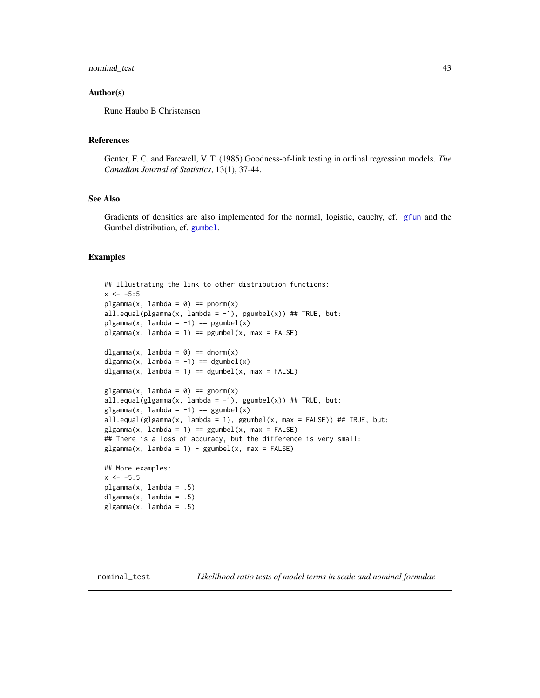#### <span id="page-42-0"></span>nominal\_test 43

#### Author(s)

Rune Haubo B Christensen

## References

Genter, F. C. and Farewell, V. T. (1985) Goodness-of-link testing in ordinal regression models. *The Canadian Journal of Statistics*, 13(1), 37-44.

## See Also

Gradients of densities are also implemented for the normal, logistic, cauchy, cf. [gfun](#page-36-1) and the Gumbel distribution, cf. [gumbel](#page-37-1).

## Examples

```
## Illustrating the link to other distribution functions:
x < -5:5plgamma(x, lambda = 0) == pnorm(x)all.equal(plgamma(x, lambda = -1), pgumbel(x)) ## TRUE, but:
plgamma(x, lambda = -1) == pgumbel(x)plgamma(x, lambda = 1) == pgumbel(x, max = FALSE)dlgamma(x, lambda = 0) == dnorm(x)
dlgamma(x, lambda = -1) == dgumbel(x)
dlgamma(x, lambda = 1) == dgumbel(x, max = FALSE)
glqamma(x, lambda = 0) == qnorm(x)all.equal(glgamma(x, lambda = -1), ggumbel(x)) ## TRUE, but:
glgamma(x, lambda = -1) == ggumberl(x)all.equal(glgamma(x, lambda = 1), ggumbel(x, max = FALSE)) ## TRUE, but:
glgamma(x, lambda = 1) == ggumbel(x, max = FALSE)## There is a loss of accuracy, but the difference is very small:
glgamma(x, lambda = 1) - ggumbel(x, max = FALSE)## More examples:
```
 $x < -5:5$ plgamma(x, lambda = .5) dlgamma $(x, \text{lambda} = .5)$  $glgamma(x, lambda = .5)$ 

nominal\_test *Likelihood ratio tests of model terms in scale and nominal formulae*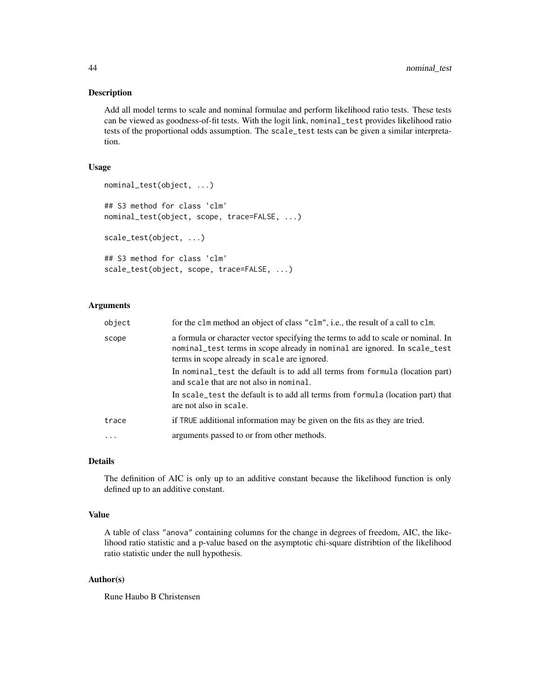#### Description

Add all model terms to scale and nominal formulae and perform likelihood ratio tests. These tests can be viewed as goodness-of-fit tests. With the logit link, nominal\_test provides likelihood ratio tests of the proportional odds assumption. The scale\_test tests can be given a similar interpretation.

#### Usage

```
nominal_test(object, ...)
## S3 method for class 'clm'
nominal_test(object, scope, trace=FALSE, ...)
scale_test(object, ...)
## S3 method for class 'clm'
scale_test(object, scope, trace=FALSE, ...)
```
## Arguments

| object | for the clm method an object of class "clm", i.e., the result of a call to clm.                                                                                                                                |
|--------|----------------------------------------------------------------------------------------------------------------------------------------------------------------------------------------------------------------|
| scope  | a formula or character vector specifying the terms to add to scale or nominal. In<br>nominal_test terms in scope already in nominal are ignored. In scale_test<br>terms in scope already in scale are ignored. |
|        | In nominal test the default is to add all terms from formula (location part)<br>and scale that are not also in nominal.                                                                                        |
|        | In scale_test the default is to add all terms from formula (location part) that<br>are not also in scale.                                                                                                      |
| trace  | if TRUE additional information may be given on the fits as they are tried.                                                                                                                                     |
|        | arguments passed to or from other methods.                                                                                                                                                                     |

#### Details

The definition of AIC is only up to an additive constant because the likelihood function is only defined up to an additive constant.

## Value

A table of class "anova" containing columns for the change in degrees of freedom, AIC, the likelihood ratio statistic and a p-value based on the asymptotic chi-square distribtion of the likelihood ratio statistic under the null hypothesis.

## Author(s)

Rune Haubo B Christensen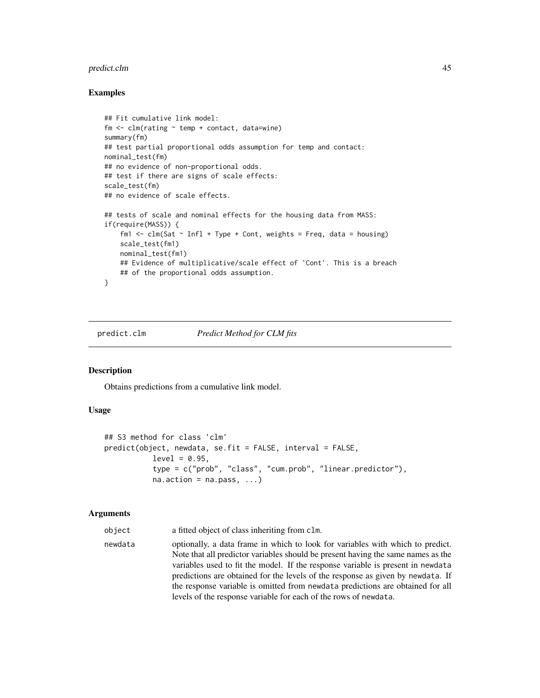## <span id="page-44-0"></span>predict.clm  $45$

#### Examples

```
## Fit cumulative link model:
fm \leq \text{clm}(\text{rating} \sim \text{temp} + \text{contact}, \text{ data} = \text{wine})summary(fm)
## test partial proportional odds assumption for temp and contact:
nominal_test(fm)
## no evidence of non-proportional odds.
## test if there are signs of scale effects:
scale_test(fm)
## no evidence of scale effects.
## tests of scale and nominal effects for the housing data from MASS:
if(require(MASS)) {
    fm1 \le - clm(Sat \sim Infl + Type + Cont, weights = Freq, data = housing)
    scale_test(fm1)
    nominal_test(fm1)
    ## Evidence of multiplicative/scale effect of 'Cont'. This is a breach
    ## of the proportional odds assumption.
}
```
#### predict.clm *Predict Method for CLM fits*

#### Description

Obtains predictions from a cumulative link model.

## Usage

```
## S3 method for class 'clm'
predict(object, newdata, se.fit = FALSE, interval = FALSE,
           level = 0.95,
           type = c("prob", "class", "cum.prob", "linear.predictor"),
           na. action = na. pass, ...
```
#### Arguments

object a fitted object of class inheriting from clm.

newdata optionally, a data frame in which to look for variables with which to predict. Note that all predictor variables should be present having the same names as the variables used to fit the model. If the response variable is present in newdata predictions are obtained for the levels of the response as given by newdata. If the response variable is omitted from newdata predictions are obtained for all levels of the response variable for each of the rows of newdata.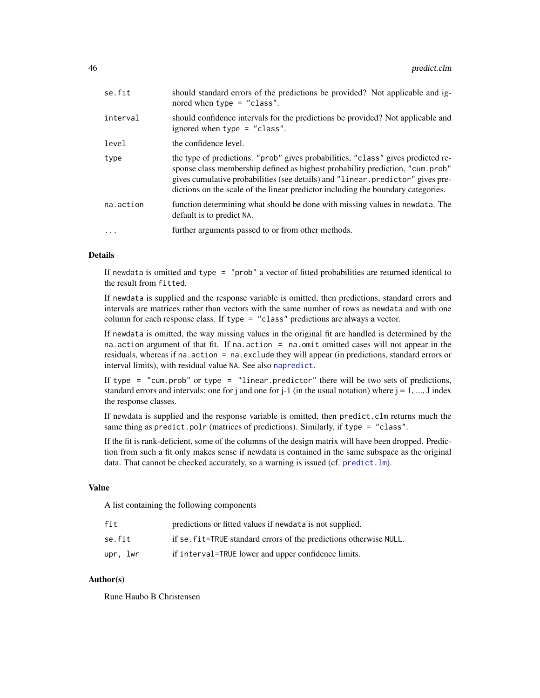<span id="page-45-0"></span>

| se.fit     | should standard errors of the predictions be provided? Not applicable and ig-<br>nored when type $=$ "class".                                                                                                                                                                                                                           |
|------------|-----------------------------------------------------------------------------------------------------------------------------------------------------------------------------------------------------------------------------------------------------------------------------------------------------------------------------------------|
| interval   | should confidence intervals for the predictions be provided? Not applicable and<br>ignored when type $=$ "class".                                                                                                                                                                                                                       |
| level      | the confidence level.                                                                                                                                                                                                                                                                                                                   |
| type       | the type of predictions. "prob" gives probabilities, "class" gives predicted re-<br>sponse class membership defined as highest probability prediction, "cum.prob"<br>gives cumulative probabilities (see details) and "linear.predictor" gives pre-<br>dictions on the scale of the linear predictor including the boundary categories. |
| na.action  | function determining what should be done with missing values in newdata. The<br>default is to predict NA.                                                                                                                                                                                                                               |
| $\ddots$ . | further arguments passed to or from other methods.                                                                                                                                                                                                                                                                                      |

#### Details

If newdata is omitted and type = "prob" a vector of fitted probabilities are returned identical to the result from fitted.

If newdata is supplied and the response variable is omitted, then predictions, standard errors and intervals are matrices rather than vectors with the same number of rows as newdata and with one column for each response class. If type = "class" predictions are always a vector.

If newdata is omitted, the way missing values in the original fit are handled is determined by the na.action argument of that fit. If na.action = na.omit omitted cases will not appear in the residuals, whereas if na.action = na.exclude they will appear (in predictions, standard errors or interval limits), with residual value NA. See also [napredict](#page-0-0).

If type = "cum.prob" or type = "linear.predictor" there will be two sets of predictions, standard errors and intervals; one for j and one for  $j-1$  (in the usual notation) where  $j = 1, ..., J$  index the response classes.

If newdata is supplied and the response variable is omitted, then predict.clm returns much the same thing as predict.polr (matrices of predictions). Similarly, if type = "class".

If the fit is rank-deficient, some of the columns of the design matrix will have been dropped. Prediction from such a fit only makes sense if newdata is contained in the same subspace as the original data. That cannot be checked accurately, so a warning is issued (cf. [predict.lm](#page-0-0)).

#### Value

A list containing the following components

| fit      | predictions or fitted values if newdata is not supplied.           |
|----------|--------------------------------------------------------------------|
| se.fit   | if se. fit=TRUE standard errors of the predictions otherwise NULL. |
| upr. lwr | if interval=TRUE lower and upper confidence limits.                |

## Author(s)

Rune Haubo B Christensen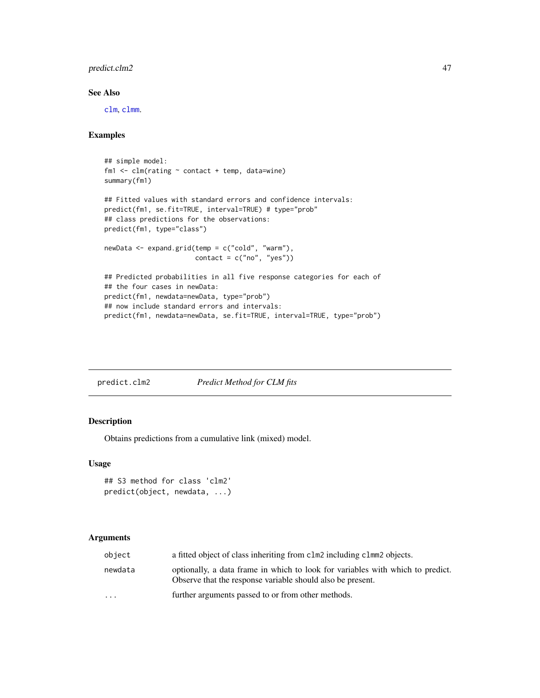## <span id="page-46-0"></span>predict.clm2 47

## See Also

[clm](#page-6-1), [clmm](#page-20-1).

#### Examples

```
## simple model:
fm1 <- clm(rating ~ contact + temp, data=wine)
summary(fm1)
## Fitted values with standard errors and confidence intervals:
predict(fm1, se.fit=TRUE, interval=TRUE) # type="prob"
## class predictions for the observations:
predict(fm1, type="class")
newData <- expand.grid(temp = c("cold", "warm"),
                       contact = c("no", "yes"))## Predicted probabilities in all five response categories for each of
## the four cases in newData:
predict(fm1, newdata=newData, type="prob")
## now include standard errors and intervals:
predict(fm1, newdata=newData, se.fit=TRUE, interval=TRUE, type="prob")
```
<span id="page-46-2"></span>

| predict.clm2 | Predict Method for CLM fits |
|--------------|-----------------------------|
|              |                             |

## <span id="page-46-1"></span>Description

Obtains predictions from a cumulative link (mixed) model.

#### Usage

```
## S3 method for class 'clm2'
predict(object, newdata, ...)
```

| object                  | a fitted object of class inheriting from clm2 including clmm2 objects.                                                                       |
|-------------------------|----------------------------------------------------------------------------------------------------------------------------------------------|
| newdata                 | optionally, a data frame in which to look for variables with which to predict.<br>Observe that the response variable should also be present. |
| $\cdot$ $\cdot$ $\cdot$ | further arguments passed to or from other methods.                                                                                           |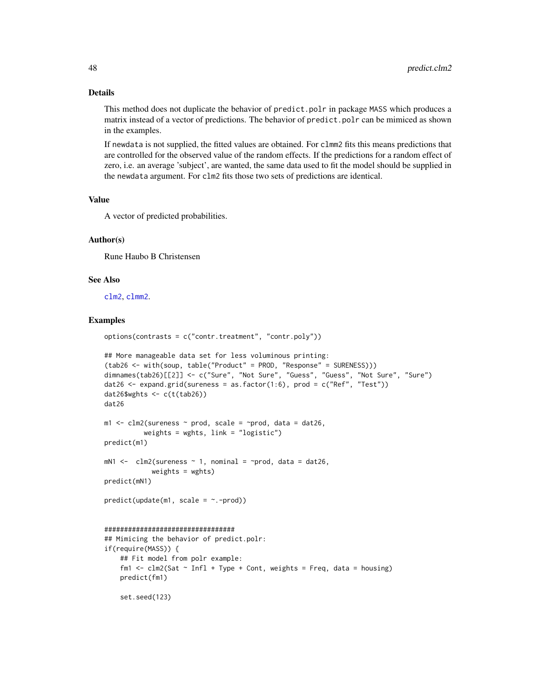#### Details

This method does not duplicate the behavior of predict.polr in package MASS which produces a matrix instead of a vector of predictions. The behavior of predict.polr can be mimiced as shown in the examples.

If newdata is not supplied, the fitted values are obtained. For clmm2 fits this means predictions that are controlled for the observed value of the random effects. If the predictions for a random effect of zero, i.e. an average 'subject', are wanted, the same data used to fit the model should be supplied in the newdata argument. For clm2 fits those two sets of predictions are identical.

#### Value

A vector of predicted probabilities.

#### Author(s)

Rune Haubo B Christensen

set.seed(123)

#### See Also

[clm2](#page-14-1), [clmm2](#page-23-1).

#### Examples

```
options(contrasts = c("contr.treatment", "contr.poly"))
```

```
## More manageable data set for less voluminous printing:
(tab26 <- with(soup, table("Product" = PROD, "Response" = SURENESS)))
dimnames(tab26)[[2]] <- c("Sure", "Not Sure", "Guess", "Guess", "Not Sure", "Sure")
dat26 <- expand.grid(sureness = as.factor(1:6), prod = c("Ref", "Test"))
dat26$wghts <- c(t(tab26))
dat26
m1 \leq -\frac{\text{cm}}{3} (sureness \sim prod, scale = \simprod, data = dat26,
          weights = wghts, link = "logistic")
predict(m1)
mN1 <- clm2(sureness \sim 1, nominal = \simprod, data = dat26,
            weights = wghts)
predict(mN1)
predict(update(m1, scale = ~.-prod))#################################
## Mimicing the behavior of predict.polr:
if(require(MASS)) {
    ## Fit model from polr example:
    fm1 \le - clm2(Sat \sim Infl + Type + Cont, weights = Freq, data = housing)
    predict(fm1)
```
<span id="page-47-0"></span>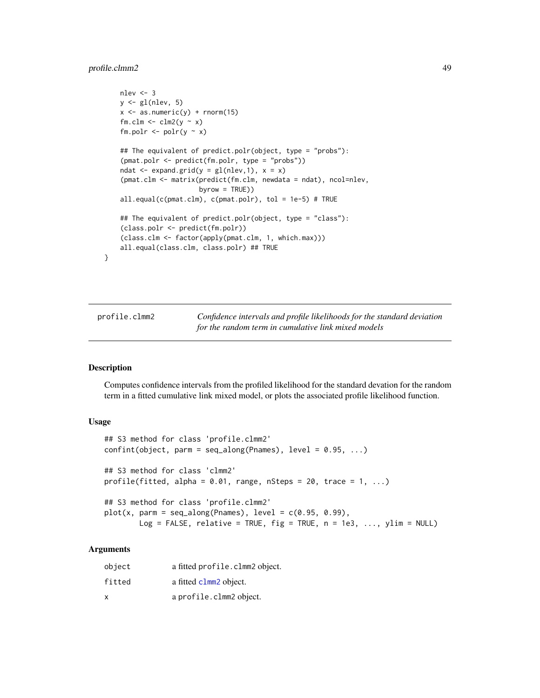## <span id="page-48-0"></span>profile.clmm2 49

```
nlev <- 3
y \leftarrow gl(nlev, 5)x \le - as.numeric(y) + rnorm(15)
fm.clm \le clm2(y \sim x)
fm.polr \leq polr(y \sim x)
## The equivalent of predict.polr(object, type = "probs"):
(pmat.polr <- predict(fm.polr, type = "probs"))
ndat \leq expand.grid(y = gl(nlev,1), x = x)
(pmat.clm <- matrix(predict(fm.clm, newdata = ndat), ncol=nlev,
                    byrow = TRUE))
all.equal(c(pmat.clm), c(pmat.polr), tol = 1e-5) # TRUE
## The equivalent of predict.polr(object, type = "class"):
(class.polr <- predict(fm.polr))
(class.clm <- factor(apply(pmat.clm, 1, which.max)))
all.equal(class.clm, class.polr) ## TRUE
```
<span id="page-48-1"></span>

profile.clmm2 *Confidence intervals and profile likelihoods for the standard deviation for the random term in cumulative link mixed models*

## <span id="page-48-2"></span>Description

}

Computes confidence intervals from the profiled likelihood for the standard devation for the random term in a fitted cumulative link mixed model, or plots the associated profile likelihood function.

#### Usage

```
## S3 method for class 'profile.clmm2'
confint(object, parm = seq_along(Parameters), level = 0.95, ...)## S3 method for class 'clmm2'
profile(fitted, alpha = 0.01, range, nSteps = 20, trace = 1, ...)
## S3 method for class 'profile.clmm2'
plot(x, parm = seq_along(Parameters), level = c(0.95, 0.99),Log = FALSE, relative = TRUE, fig = TRUE, n = 1e3, ..., ylim = NULL)
```

| object | a fitted profile.clmm2 object. |
|--------|--------------------------------|
| fitted | a fitted clmm2 object.         |
| x      | a profile.clmm2 object.        |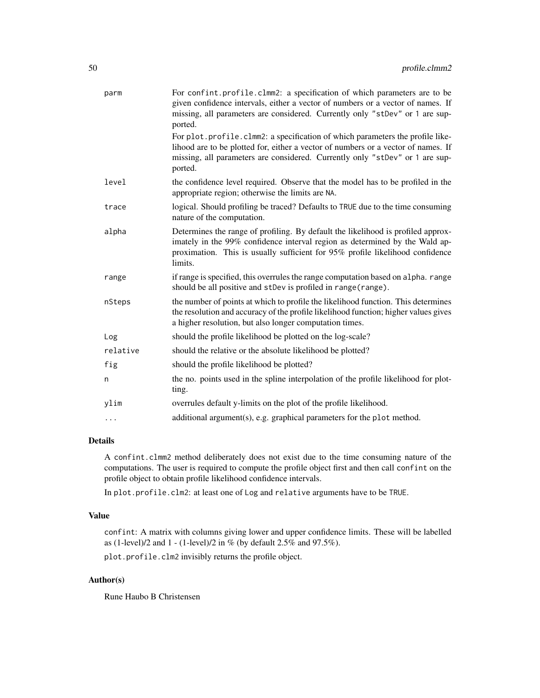| parm     | For confint.profile.clmm2: a specification of which parameters are to be<br>given confidence intervals, either a vector of numbers or a vector of names. If<br>missing, all parameters are considered. Currently only "stDev" or 1 are sup-<br>ported.        |
|----------|---------------------------------------------------------------------------------------------------------------------------------------------------------------------------------------------------------------------------------------------------------------|
|          | For plot.profile.clmm2: a specification of which parameters the profile like-<br>lihood are to be plotted for, either a vector of numbers or a vector of names. If<br>missing, all parameters are considered. Currently only "stDev" or 1 are sup-<br>ported. |
| level    | the confidence level required. Observe that the model has to be profiled in the<br>appropriate region; otherwise the limits are NA.                                                                                                                           |
| trace    | logical. Should profiling be traced? Defaults to TRUE due to the time consuming<br>nature of the computation.                                                                                                                                                 |
| alpha    | Determines the range of profiling. By default the likelihood is profiled approx-<br>imately in the 99% confidence interval region as determined by the Wald ap-<br>proximation. This is usually sufficient for 95% profile likelihood confidence<br>limits.   |
| range    | if range is specified, this overrules the range computation based on alpha. range<br>should be all positive and stDev is profiled in range(range).                                                                                                            |
| nSteps   | the number of points at which to profile the likelihood function. This determines<br>the resolution and accuracy of the profile likelihood function; higher values gives<br>a higher resolution, but also longer computation times.                           |
| Log      | should the profile likelihood be plotted on the log-scale?                                                                                                                                                                                                    |
| relative | should the relative or the absolute likelihood be plotted?                                                                                                                                                                                                    |
| fig      | should the profile likelihood be plotted?                                                                                                                                                                                                                     |
| n        | the no. points used in the spline interpolation of the profile likelihood for plot-<br>ting.                                                                                                                                                                  |
| ylim     | overrules default y-limits on the plot of the profile likelihood.                                                                                                                                                                                             |
| $\cdots$ | additional argument(s), e.g. graphical parameters for the plot method.                                                                                                                                                                                        |

## Details

A confint.clmm2 method deliberately does not exist due to the time consuming nature of the computations. The user is required to compute the profile object first and then call confint on the profile object to obtain profile likelihood confidence intervals.

In plot.profile.clm2: at least one of Log and relative arguments have to be TRUE.

## Value

confint: A matrix with columns giving lower and upper confidence limits. These will be labelled as (1-level)/2 and 1 - (1-level)/2 in % (by default 2.5% and 97.5%).

plot.profile.clm2 invisibly returns the profile object.

## Author(s)

Rune Haubo B Christensen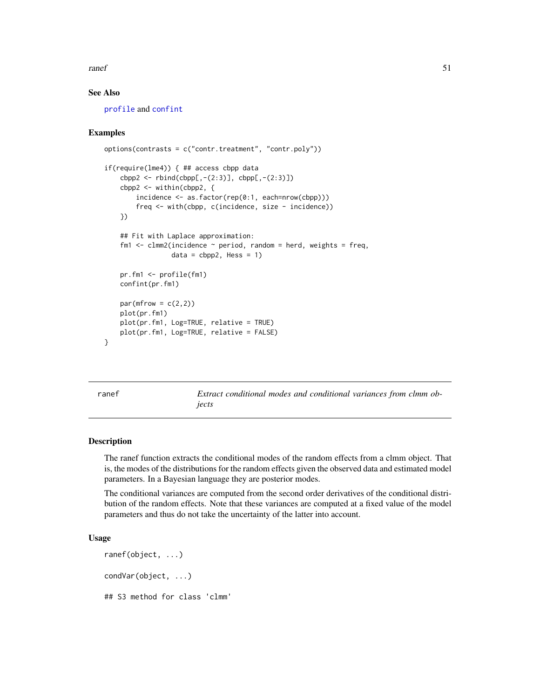#### <span id="page-50-0"></span>ranef 51

## See Also

[profile](#page-0-0) and [confint](#page-28-1)

#### Examples

```
options(contrasts = c("contr.treatment", "contr.poly"))
if(require(lme4)) { ## access cbpp data
    cbpp2 < -rbind(cbpp[, -(2:3)], cbpp[, -(2:3)]cbpp2 <- within(cbpp2, {
       incidence <- as.factor(rep(0:1, each=nrow(cbpp)))
        freq <- with(cbpp, c(incidence, size - incidence))
    })
    ## Fit with Laplace approximation:
    fm1 \le - clmm2(incidence \sim period, random = herd, weights = freq,
                 data = cbpp2, Hess = 1pr.fm1 <- profile(fm1)
    confint(pr.fm1)
    par(mfrow = c(2,2))plot(pr.fm1)
   plot(pr.fm1, Log=TRUE, relative = TRUE)
    plot(pr.fm1, Log=TRUE, relative = FALSE)
}
```
ranef *Extract conditional modes and conditional variances from clmm objects*

## **Description**

The ranef function extracts the conditional modes of the random effects from a clmm object. That is, the modes of the distributions for the random effects given the observed data and estimated model parameters. In a Bayesian language they are posterior modes.

The conditional variances are computed from the second order derivatives of the conditional distribution of the random effects. Note that these variances are computed at a fixed value of the model parameters and thus do not take the uncertainty of the latter into account.

## Usage

```
ranef(object, ...)
condVar(object, ...)
## S3 method for class 'clmm'
```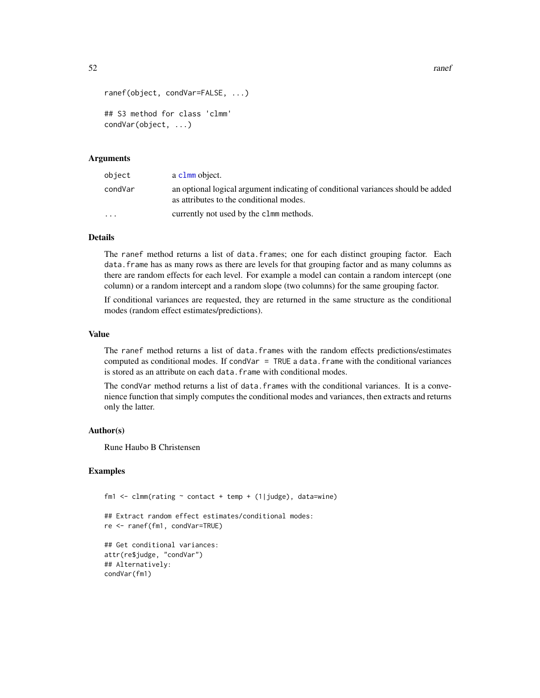```
52 ranef and the contract of the contract of the contract of the contract of the contract of the contract of the contract of the contract of the contract of the contract of the contract of the contract of the contract of t
```

```
ranef(object, condVar=FALSE, ...)
## S3 method for class 'clmm'
condVar(object, ...)
```
#### Arguments

| object                  | a c1mm object.                                                                                                              |
|-------------------------|-----------------------------------------------------------------------------------------------------------------------------|
| condVar                 | an optional logical argument indicating of conditional variances should be added<br>as attributes to the conditional modes. |
| $\cdot$ $\cdot$ $\cdot$ | currently not used by the clmm methods.                                                                                     |

## Details

The ranef method returns a list of data.frames; one for each distinct grouping factor. Each data. frame has as many rows as there are levels for that grouping factor and as many columns as there are random effects for each level. For example a model can contain a random intercept (one column) or a random intercept and a random slope (two columns) for the same grouping factor.

If conditional variances are requested, they are returned in the same structure as the conditional modes (random effect estimates/predictions).

## Value

The ranef method returns a list of data.frames with the random effects predictions/estimates computed as conditional modes. If  $condVar = TRUE$  a data. frame with the conditional variances is stored as an attribute on each data. frame with conditional modes.

The condVar method returns a list of data. frames with the conditional variances. It is a convenience function that simply computes the conditional modes and variances, then extracts and returns only the latter.

## Author(s)

Rune Haubo B Christensen

#### Examples

```
fm1 <- clmm(rating \sim contact + temp + (1|judge), data=wine)
## Extract random effect estimates/conditional modes:
re <- ranef(fm1, condVar=TRUE)
## Get conditional variances:
attr(re$judge, "condVar")
## Alternatively:
condVar(fm1)
```
<span id="page-51-0"></span>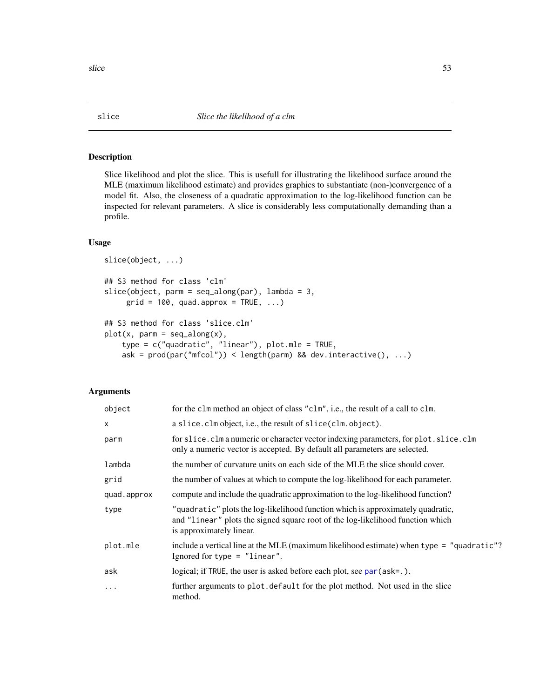#### <span id="page-52-1"></span>Description

Slice likelihood and plot the slice. This is usefull for illustrating the likelihood surface around the MLE (maximum likelihood estimate) and provides graphics to substantiate (non-)convergence of a model fit. Also, the closeness of a quadratic approximation to the log-likelihood function can be inspected for relevant parameters. A slice is considerably less computationally demanding than a profile.

## Usage

```
slice(object, ...)
## S3 method for class 'clm'
slice(object, parm = seq\_along(par), lambda = 3,
     grid = 100, quad.append, approx = TRUE, ...)## S3 method for class 'slice.clm'
plot(x, parm = seq_along(x),type = c("quadratic", "linear"), plot.mle = TRUE,
    ask = prod(par("mfcol")) < length(parm) && dev.interactive(), ...)
```

| object      | for the clm method an object of class "clm", i.e., the result of a call to clm.                                                                                                               |
|-------------|-----------------------------------------------------------------------------------------------------------------------------------------------------------------------------------------------|
| $\times$    | a slice.clm object, i.e., the result of slice(clm.object).                                                                                                                                    |
| parm        | for slice. clm a numeric or character vector indexing parameters, for plot. slice. clm<br>only a numeric vector is accepted. By default all parameters are selected.                          |
| lambda      | the number of curvature units on each side of the MLE the slice should cover.                                                                                                                 |
| grid        | the number of values at which to compute the log-likelihood for each parameter.                                                                                                               |
| quad.approx | compute and include the quadratic approximation to the log-likelihood function?                                                                                                               |
| type        | "quadratic" plots the log-likelihood function which is approximately quadratic,<br>and "linear" plots the signed square root of the log-likelihood function which<br>is approximately linear. |
| plot.mle    | include a vertical line at the MLE (maximum likelihood estimate) when type = "quadratic"?<br>Ignored for type $=$ "linear".                                                                   |
| ask         | logical; if TRUE, the user is asked before each plot, see par (ask=.).                                                                                                                        |
| .           | further arguments to plot. default for the plot method. Not used in the slice<br>method.                                                                                                      |

<span id="page-52-0"></span>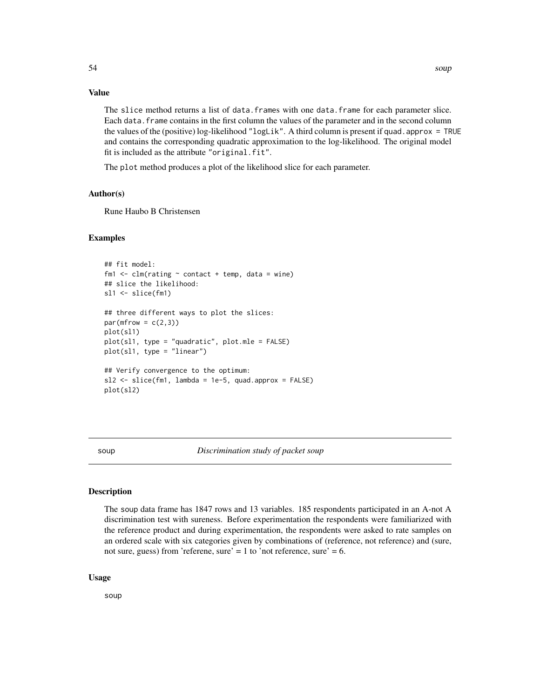## <span id="page-53-0"></span>Value

The slice method returns a list of data.frames with one data.frame for each parameter slice. Each data.frame contains in the first column the values of the parameter and in the second column the values of the (positive) log-likelihood "logLik". A third column is present if quad.approx = TRUE and contains the corresponding quadratic approximation to the log-likelihood. The original model fit is included as the attribute "original.fit".

The plot method produces a plot of the likelihood slice for each parameter.

## Author(s)

Rune Haubo B Christensen

## Examples

```
## fit model:
fm1 \le - clm(rating \sim contact + temp, data = wine)
## slice the likelihood:
sl1 <- slice(fm1)
## three different ways to plot the slices:
par(mfrow = c(2,3))plot(sl1)
plot(s11, type = "quadratic", plot.mle = FALSE)plot(sl1, type = "linear")
## Verify convergence to the optimum:
s12 \leq s1ice(fm1, lambda = 1e-5, quad.appendbora = FALSE)plot(sl2)
```
soup *Discrimination study of packet soup*

#### Description

The soup data frame has 1847 rows and 13 variables. 185 respondents participated in an A-not A discrimination test with sureness. Before experimentation the respondents were familiarized with the reference product and during experimentation, the respondents were asked to rate samples on an ordered scale with six categories given by combinations of (reference, not reference) and (sure, not sure, guess) from 'referene, sure' = 1 to 'not reference, sure' = 6.

#### Usage

soup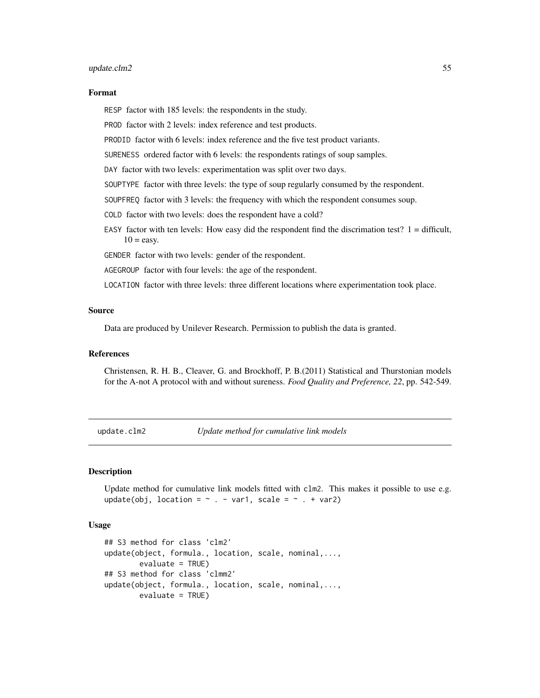#### <span id="page-54-0"></span>update.clm2 55

#### Format

RESP factor with 185 levels: the respondents in the study.

PROD factor with 2 levels: index reference and test products.

PRODID factor with 6 levels: index reference and the five test product variants.

SURENESS ordered factor with 6 levels: the respondents ratings of soup samples.

DAY factor with two levels: experimentation was split over two days.

SOUPTYPE factor with three levels: the type of soup regularly consumed by the respondent.

SOUPFREQ factor with 3 levels: the frequency with which the respondent consumes soup.

COLD factor with two levels: does the respondent have a cold?

EASY factor with ten levels: How easy did the respondent find the discrimation test?  $1 =$  difficult,  $10 = e$ asy.

GENDER factor with two levels: gender of the respondent.

AGEGROUP factor with four levels: the age of the respondent.

LOCATION factor with three levels: three different locations where experimentation took place.

#### Source

Data are produced by Unilever Research. Permission to publish the data is granted.

## References

Christensen, R. H. B., Cleaver, G. and Brockhoff, P. B.(2011) Statistical and Thurstonian models for the A-not A protocol with and without sureness. *Food Quality and Preference, 22*, pp. 542-549.

<span id="page-54-1"></span>update.clm2 *Update method for cumulative link models*

#### Description

Update method for cumulative link models fitted with clm2. This makes it possible to use e.g. update(obj, location =  $\sim$  . - var1, scale =  $\sim$  . + var2)

#### Usage

```
## S3 method for class 'clm2'
update(object, formula., location, scale, nominal,...,
       evaluate = TRUE)
## S3 method for class 'clmm2'
update(object, formula., location, scale, nominal,...,
       evaluate = TRUE)
```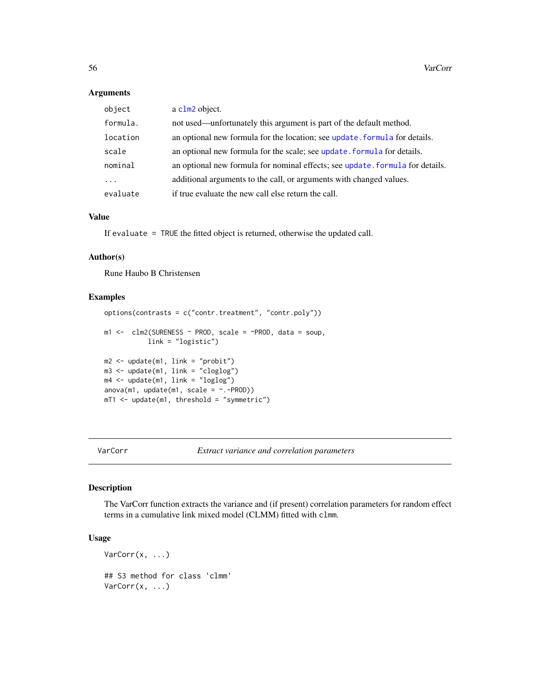## Arguments

| object   | a clm2 object.                                                                |
|----------|-------------------------------------------------------------------------------|
| formula. | not used—unfortunately this argument is part of the default method.           |
| location | an optional new formula for the location; see update formula for details.     |
| scale    | an optional new formula for the scale; see update, formula for details.       |
| nominal  | an optional new formula for nominal effects; see update, formula for details. |
| .        | additional arguments to the call, or arguments with changed values.           |
| evaluate | if true evaluate the new call else return the call.                           |

## Value

If evaluate = TRUE the fitted object is returned, otherwise the updated call.

## Author(s)

Rune Haubo B Christensen

## Examples

```
options(contrasts = c("contr.treatment", "contr.poly"))
m1 <- clm2(SURENESS ~ PROD, scale = ~PROD, data = soup,
          link = "logistic")
m2 <- update(m1, link = "probit")
m3 <- update(m1, link = "cloglog")
m4 <- update(m1, link = "loglog")
anova(m1, update(m1, scale = ~. -PROD))mT1 <- update(m1, threshold = "symmetric")
```
VarCorr *Extract variance and correlation parameters*

## Description

The VarCorr function extracts the variance and (if present) correlation parameters for random effect terms in a cumulative link mixed model (CLMM) fitted with clmm.

## Usage

```
VarCorr(x, ...)
## S3 method for class 'clmm'
VarCorr(x, ...)
```
<span id="page-55-0"></span>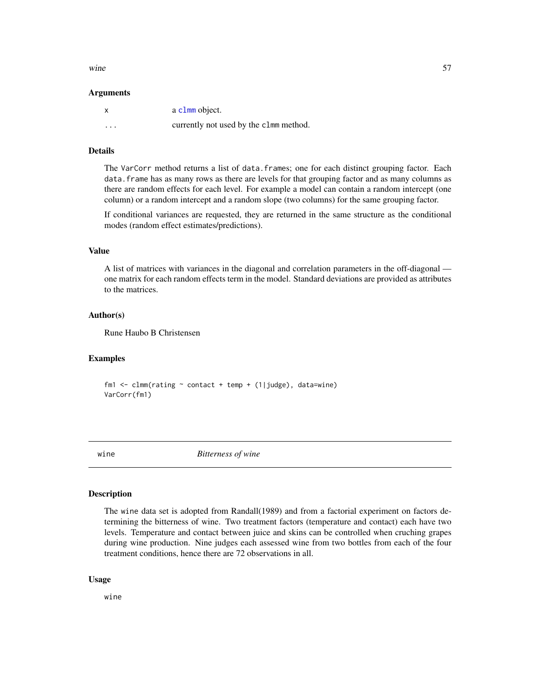#### <span id="page-56-0"></span>wine  $57$

#### **Arguments**

|          | a c1mm object.                         |
|----------|----------------------------------------|
| $\cdots$ | currently not used by the c1mm method. |

## Details

The VarCorr method returns a list of data.frames; one for each distinct grouping factor. Each data.frame has as many rows as there are levels for that grouping factor and as many columns as there are random effects for each level. For example a model can contain a random intercept (one column) or a random intercept and a random slope (two columns) for the same grouping factor.

If conditional variances are requested, they are returned in the same structure as the conditional modes (random effect estimates/predictions).

#### Value

A list of matrices with variances in the diagonal and correlation parameters in the off-diagonal one matrix for each random effects term in the model. Standard deviations are provided as attributes to the matrices.

## Author(s)

Rune Haubo B Christensen

## Examples

fm1 <- clmm(rating  $\sim$  contact + temp + (1|judge), data=wine) VarCorr(fm1)

wine *Bitterness of wine*

#### Description

The wine data set is adopted from Randall(1989) and from a factorial experiment on factors determining the bitterness of wine. Two treatment factors (temperature and contact) each have two levels. Temperature and contact between juice and skins can be controlled when cruching grapes during wine production. Nine judges each assessed wine from two bottles from each of the four treatment conditions, hence there are 72 observations in all.

#### Usage

wine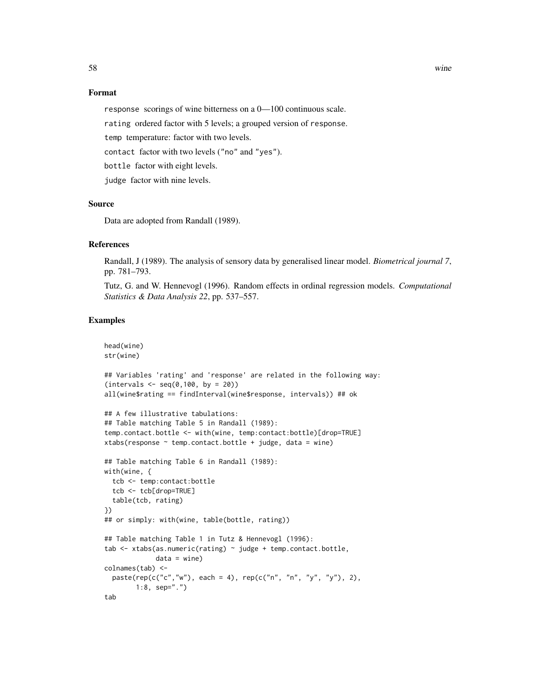#### Format

response scorings of wine bitterness on a 0—100 continuous scale.

rating ordered factor with 5 levels; a grouped version of response.

temp temperature: factor with two levels.

contact factor with two levels ("no" and "yes").

bottle factor with eight levels.

judge factor with nine levels.

#### Source

Data are adopted from Randall (1989).

#### References

Randall, J (1989). The analysis of sensory data by generalised linear model. *Biometrical journal 7*, pp. 781–793.

Tutz, G. and W. Hennevogl (1996). Random effects in ordinal regression models. *Computational Statistics & Data Analysis 22*, pp. 537–557.

## Examples

```
head(wine)
str(wine)
## Variables 'rating' and 'response' are related in the following way:
(intervals < - seq(0, 100, by = 20))all(wine$rating == findInterval(wine$response, intervals)) ## ok
## A few illustrative tabulations:
## Table matching Table 5 in Randall (1989):
temp.contact.bottle <- with(wine, temp:contact:bottle)[drop=TRUE]
xtabs(response \sim temp.contact.bottle + judge, data = wine)
## Table matching Table 6 in Randall (1989):
with(wine, {
  tcb <- temp:contact:bottle
  tcb <- tcb[drop=TRUE]
  table(tcb, rating)
})
## or simply: with(wine, table(bottle, rating))
## Table matching Table 1 in Tutz & Hennevogl (1996):
tab <- xtabs(as.numeric(rating) ~ judge + temp.contact.bottle,
             data = wine)colnames(tab) <-
  paste(rep(c("c", "w"), each = 4), rep(c("n", "n", "y", "y"), 2),1:8, sep=".")
tab
```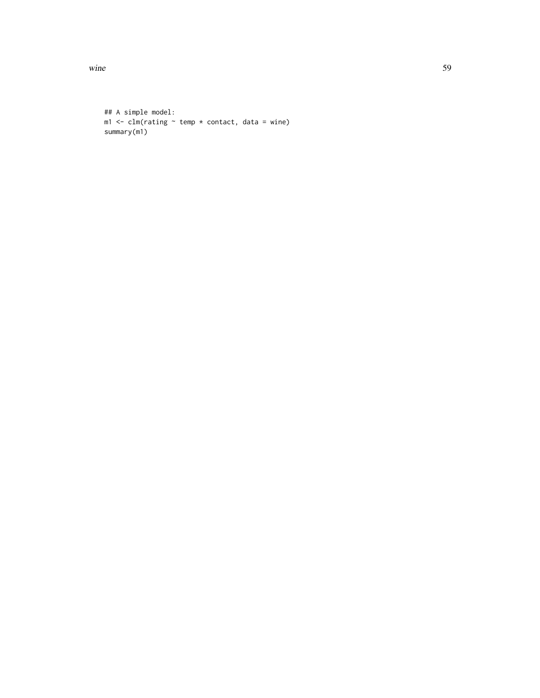wine 59

```
## A simple model:
m1 <- clm(rating ~ rtemp ~ x constant, data = wine)summary(m1)
```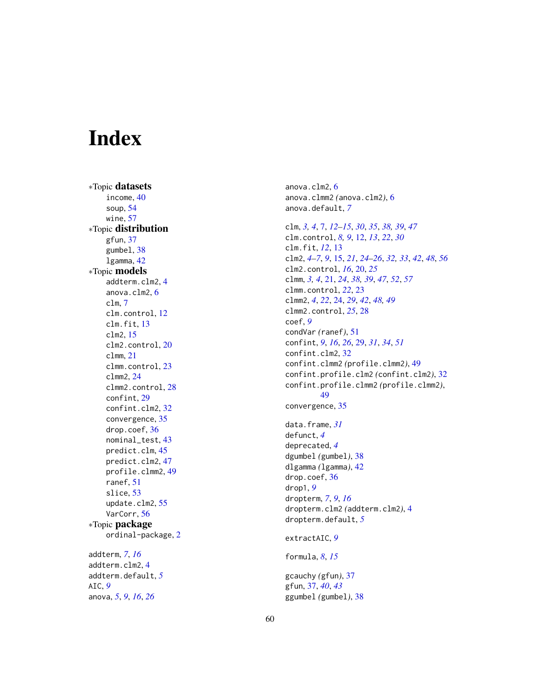# <span id="page-59-0"></span>Index

∗Topic datasets income , [40](#page-39-0) soup , [54](#page-53-0) wine , [57](#page-56-0) ∗Topic distribution gfun , [37](#page-36-0) gumbel , [38](#page-37-0) lgamma , [42](#page-41-0) ∗Topic models addterm.clm2 , [4](#page-3-0) anova.clm2 , [6](#page-5-0) clm , [7](#page-6-0) clm.control , [12](#page-11-0) clm.fit , [13](#page-12-0) clm2 , [15](#page-14-0) clm2.control , [20](#page-19-0) clmm , [21](#page-20-0) clmm.control, [23](#page-22-0) clmm2 , [24](#page-23-0) clmm2.control, [28](#page-27-0) confint , [29](#page-28-0) confint.clm2, [32](#page-31-0) convergence , [35](#page-34-0) drop.coef , [36](#page-35-0) nominal\_test , [43](#page-42-0) predict.clm , [45](#page-44-0) predict.clm2 , [47](#page-46-0) profile.clmm2 , [49](#page-48-0) ranef , [51](#page-50-0) slice , [53](#page-52-0) update.clm2, [55](#page-54-0) VarCorr , [56](#page-55-0) ∗Topic package ordinal-package , [2](#page-1-0) addterm , *[7](#page-6-0)* , *[16](#page-15-0)* addterm.clm2 , [4](#page-3-0) addterm.default , *[5](#page-4-0)* AIC , *[9](#page-8-0)* anova , *[5](#page-4-0)* , *[9](#page-8-0)* , *[16](#page-15-0)* , *[26](#page-25-0)*

anova.clm2 , [6](#page-5-0) anova.clmm2 *(*anova.clm2 *)* , [6](#page-5-0) anova.default , *[7](#page-6-0)* clm , *[3](#page-2-0) , [4](#page-3-0)* , [7](#page-6-0) , *[12](#page-11-0) [–15](#page-14-0)* , *[30](#page-29-0)* , *[35](#page-34-0)* , *[38](#page-37-0) , [39](#page-38-0)* , *[47](#page-46-0)* clm.control , *[8](#page-7-0) , [9](#page-8-0)* , [12](#page-11-0) , *[13](#page-12-0)* , *[22](#page-21-0)* , *[30](#page-29-0)* clm.fit , *[12](#page-11-0)* , [13](#page-12-0) clm2 , *[4](#page-3-0) – [7](#page-6-0)* , *[9](#page-8-0)* , [15](#page-14-0) , *[21](#page-20-0)* , *[24](#page-23-0) [–26](#page-25-0)* , *[32](#page-31-0) , [33](#page-32-0)* , *[42](#page-41-0)* , *[48](#page-47-0)* , *[56](#page-55-0)* clm2.control , *[16](#page-15-0)* , [20](#page-19-0) , *[25](#page-24-0)* clmm , *[3](#page-2-0) , [4](#page-3-0)* , [21](#page-20-0) , *[24](#page-23-0)* , *[38](#page-37-0) , [39](#page-38-0)* , *[47](#page-46-0)* , *[52](#page-51-0)* , *[57](#page-56-0)* clmm.control , *[22](#page-21-0)* , [23](#page-22-0) clmm2 , *[4](#page-3-0)* , *[22](#page-21-0)* , [24](#page-23-0) , *[29](#page-28-0)* , *[42](#page-41-0)* , *[48](#page-47-0) , [49](#page-48-0)* clmm2.control , *[25](#page-24-0)* , [28](#page-27-0) coef , *[9](#page-8-0)* condVar *(*ranef *)* , [51](#page-50-0) confint , *[9](#page-8-0)* , *[16](#page-15-0)* , *[26](#page-25-0)* , [29](#page-28-0) , *[31](#page-30-0)* , *[34](#page-33-0)* , *[51](#page-50-0)* confint.clm2 , [32](#page-31-0) confint.clmm2 *(*profile.clmm2 *)* , [49](#page-48-0) confint.profile.clm2 *(*confint.clm2 *)* , [32](#page-31-0) confint.profile.clmm2 *(*profile.clmm2 *)* , [49](#page-48-0) convergence , [35](#page-34-0) data.frame , *[31](#page-30-0)* defunct , *[4](#page-3-0)* deprecated , *[4](#page-3-0)* dgumbel *(*gumbel *)* , [38](#page-37-0) dlgamma *(*lgamma *)* , [42](#page-41-0) drop.coef, [36](#page-35-0) drop1 , *[9](#page-8-0)* dropterm , *[7](#page-6-0)* , *[9](#page-8-0)* , *[16](#page-15-0)* dropterm.clm2 *(*addterm.clm2 *)* , [4](#page-3-0) dropterm.default , *[5](#page-4-0)* extractAIC , *[9](#page-8-0)* formula , *[8](#page-7-0)* , *[15](#page-14-0)* gcauchy *(*gfun *)* , [37](#page-36-0) gfun , [37](#page-36-0) , *[40](#page-39-0)* , *[43](#page-42-0)* ggumbel *(*gumbel *)* , [38](#page-37-0)